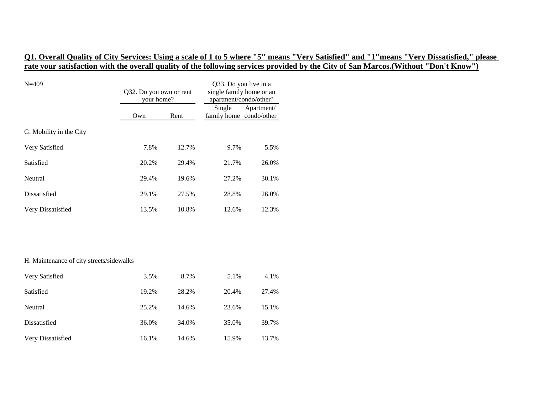| $N = 409$                                | Q32. Do you own or rent<br>your home? |       | Q33. Do you live in a<br>single family home or an<br>apartment/condo/other? |            |
|------------------------------------------|---------------------------------------|-------|-----------------------------------------------------------------------------|------------|
|                                          | Own                                   | Rent  | Single<br>family home condo/other                                           | Apartment/ |
| G. Mobility in the City                  |                                       |       |                                                                             |            |
| Very Satisfied                           | 7.8%                                  | 12.7% | 9.7%                                                                        | 5.5%       |
| Satisfied                                | 20.2%                                 | 29.4% | 21.7%                                                                       | 26.0%      |
| Neutral                                  | 29.4%                                 | 19.6% | 27.2%                                                                       | 30.1%      |
| Dissatisfied                             | 29.1%                                 | 27.5% | 28.8%                                                                       | 26.0%      |
| Very Dissatisfied                        | 13.5%                                 | 10.8% | 12.6%                                                                       | 12.3%      |
|                                          |                                       |       |                                                                             |            |
|                                          |                                       |       |                                                                             |            |
| H. Maintenance of city streets/sidewalks |                                       |       |                                                                             |            |
| Very Satisfied                           | 3.5%                                  | 8.7%  | 5.1%                                                                        | 4.1%       |
| Satisfied                                | 19.2%                                 | 28.2% | 20.4%                                                                       | 27.4%      |
| Neutral                                  | 25.2%                                 | 14.6% | 23.6%                                                                       | 15.1%      |
| Dissatisfied                             | 36.0%                                 | 34.0% | 35.0%                                                                       | 39.7%      |
| Very Dissatisfied                        | 16.1%                                 | 14.6% | 15.9%                                                                       | 13.7%      |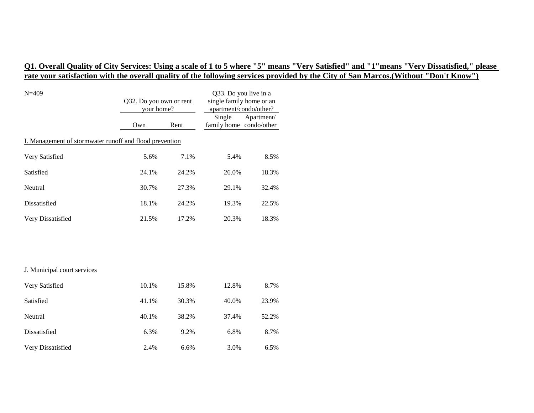| $N = 409$                                               | Q32. Do you own or rent<br>your home? |       | Q33. Do you live in a<br>single family home or an<br>apartment/condo/other? |            |
|---------------------------------------------------------|---------------------------------------|-------|-----------------------------------------------------------------------------|------------|
|                                                         | Own                                   | Rent  | Single<br>family home condo/other                                           | Apartment/ |
| I. Management of stormwater runoff and flood prevention |                                       |       |                                                                             |            |
| Very Satisfied                                          | 5.6%                                  | 7.1%  | 5.4%                                                                        | 8.5%       |
| Satisfied                                               | 24.1%                                 | 24.2% | 26.0%                                                                       | 18.3%      |
| Neutral                                                 | 30.7%                                 | 27.3% | 29.1%                                                                       | 32.4%      |
| Dissatisfied                                            | 18.1%                                 | 24.2% | 19.3%                                                                       | 22.5%      |
| Very Dissatisfied                                       | 21.5%                                 | 17.2% | 20.3%                                                                       | 18.3%      |
|                                                         |                                       |       |                                                                             |            |
| J. Municipal court services                             |                                       |       |                                                                             |            |
| Very Satisfied                                          | 10.1%                                 | 15.8% | 12.8%                                                                       | 8.7%       |
| Satisfied                                               | 41.1%                                 | 30.3% | 40.0%                                                                       | 23.9%      |
| Neutral                                                 | 40.1%                                 | 38.2% | 37.4%                                                                       | 52.2%      |
| Dissatisfied                                            | 6.3%                                  | 9.2%  | 6.8%                                                                        | 8.7%       |
| Very Dissatisfied                                       | 2.4%                                  | 6.6%  | 3.0%                                                                        | 6.5%       |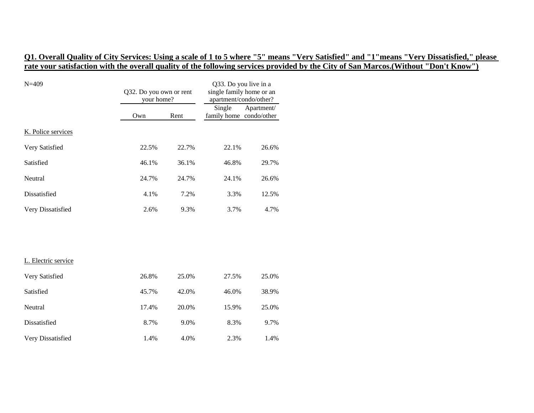| $N = 409$           | Q32. Do you own or rent<br>your home? |       | Q33. Do you live in a<br>single family home or an<br>apartment/condo/other? |            |
|---------------------|---------------------------------------|-------|-----------------------------------------------------------------------------|------------|
|                     | Own<br>Rent                           |       | Single<br>family home condo/other                                           | Apartment/ |
| K. Police services  |                                       |       |                                                                             |            |
| Very Satisfied      | 22.5%                                 | 22.7% | 22.1%                                                                       | 26.6%      |
| Satisfied           | 46.1%                                 | 36.1% | 46.8%                                                                       | 29.7%      |
| Neutral             | 24.7%                                 | 24.7% | 24.1%                                                                       | 26.6%      |
| Dissatisfied        | 4.1%                                  | 7.2%  | 3.3%                                                                        | 12.5%      |
| Very Dissatisfied   | 2.6%                                  | 9.3%  | 3.7%                                                                        | 4.7%       |
|                     |                                       |       |                                                                             |            |
| L. Electric service |                                       |       |                                                                             |            |
| Very Satisfied      | 26.8%                                 | 25.0% | 27.5%                                                                       | 25.0%      |
| Satisfied           | 45.7%                                 | 42.0% | 46.0%                                                                       | 38.9%      |
| Neutral             | 17.4%                                 | 20.0% | 15.9%                                                                       | 25.0%      |
| Dissatisfied        | 8.7%                                  | 9.0%  | 8.3%                                                                        | 9.7%       |
| Very Dissatisfied   | 1.4%                                  | 4.0%  | 2.3%                                                                        | 1.4%       |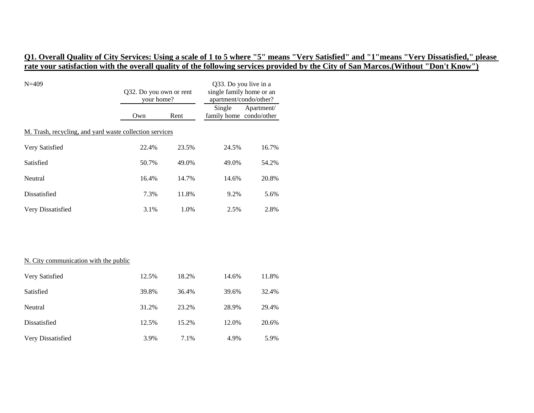| $N = 409$                                               | Q32. Do you own or rent<br>your home? |       | Q33. Do you live in a<br>single family home or an<br>apartment/condo/other? |            |
|---------------------------------------------------------|---------------------------------------|-------|-----------------------------------------------------------------------------|------------|
|                                                         | Own                                   | Rent  | Single<br>family home condo/other                                           | Apartment/ |
| M. Trash, recycling, and yard waste collection services |                                       |       |                                                                             |            |
| Very Satisfied                                          | 22.4%                                 | 23.5% | 24.5%                                                                       | 16.7%      |
| Satisfied                                               | 50.7%                                 | 49.0% | 49.0%                                                                       | 54.2%      |
| Neutral                                                 | 16.4%                                 | 14.7% | 14.6%                                                                       | 20.8%      |
| Dissatisfied                                            | 7.3%                                  | 11.8% | 9.2%                                                                        | 5.6%       |
| Very Dissatisfied                                       | 3.1%                                  | 1.0%  | 2.5%                                                                        | 2.8%       |
|                                                         |                                       |       |                                                                             |            |
| N. City communication with the public                   |                                       |       |                                                                             |            |
| Very Satisfied                                          | 12.5%                                 | 18.2% | 14.6%                                                                       | 11.8%      |
| Satisfied                                               | 39.8%                                 | 36.4% | 39.6%                                                                       | 32.4%      |
| Neutral                                                 | 31.2%                                 | 23.2% | 28.9%                                                                       | 29.4%      |
| Dissatisfied                                            | 12.5%                                 | 15.2% | 12.0%                                                                       | 20.6%      |
| Very Dissatisfied                                       | 3.9%                                  | 7.1%  | 4.9%                                                                        | 5.9%       |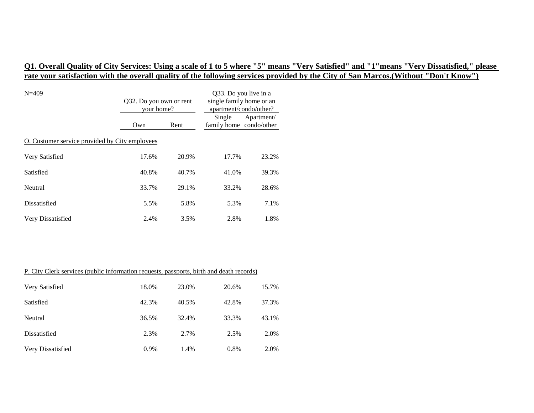| $N = 409$                                      | Q32. Do you own or rent<br>your home? |       | Q33. Do you live in a<br>single family home or an<br>apartment/condo/other? |            |  |
|------------------------------------------------|---------------------------------------|-------|-----------------------------------------------------------------------------|------------|--|
|                                                | Own                                   | Rent  | Single<br>family home condo/other                                           | Apartment/ |  |
| O. Customer service provided by City employees |                                       |       |                                                                             |            |  |
| Very Satisfied                                 | 17.6%                                 | 20.9% | 17.7%                                                                       | 23.2%      |  |
| Satisfied                                      | 40.8%                                 | 40.7% | 41.0%                                                                       | 39.3%      |  |
| Neutral                                        | 33.7%                                 | 29.1% | 33.2%                                                                       | 28.6%      |  |
| Dissatisfied                                   | 5.5%                                  | 5.8%  | 5.3%                                                                        | 7.1%       |  |
| Very Dissatisfied                              | 2.4%                                  | 3.5%  | 2.8%                                                                        | 1.8%       |  |

| P. City Clerk services (public information requests, passports, birth and death records) |         |       |       |       |  |
|------------------------------------------------------------------------------------------|---------|-------|-------|-------|--|
| Very Satisfied                                                                           | 18.0%   | 23.0% | 20.6% | 15.7% |  |
| Satisfied                                                                                | 42.3%   | 40.5% | 42.8% | 37.3% |  |
| Neutral                                                                                  | 36.5%   | 32.4% | 33.3% | 43.1% |  |
| Dissatisfied                                                                             | 2.3%    | 2.7%  | 2.5%  | 2.0%  |  |
| Very Dissatisfied                                                                        | $0.9\%$ | 1.4%  | 0.8%  | 2.0%  |  |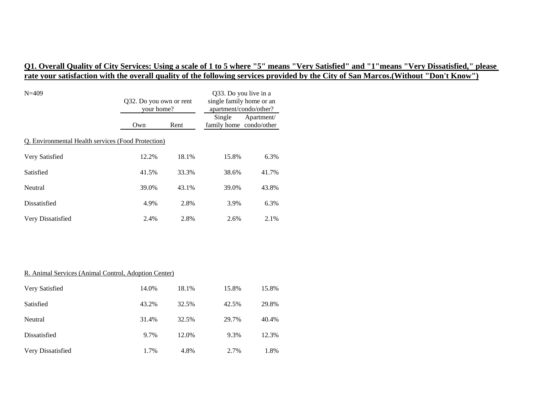| $N = 409$                                          | Q32. Do you own or rent<br>your home? |       | Q33. Do you live in a<br>single family home or an<br>apartment/condo/other? |            |  |
|----------------------------------------------------|---------------------------------------|-------|-----------------------------------------------------------------------------|------------|--|
|                                                    | Own                                   | Rent  | Single<br>family home condo/other                                           | Apartment/ |  |
| Q. Environmental Health services (Food Protection) |                                       |       |                                                                             |            |  |
| Very Satisfied                                     | 12.2%                                 | 18.1% | 15.8%                                                                       | 6.3%       |  |
| Satisfied                                          | 41.5%                                 | 33.3% | 38.6%                                                                       | 41.7%      |  |
| Neutral                                            | 39.0%                                 | 43.1% | 39.0%                                                                       | 43.8%      |  |
| Dissatisfied                                       | 4.9%                                  | 2.8%  | 3.9%                                                                        | 6.3%       |  |
| Very Dissatisfied                                  | 2.4%                                  | 2.8%  | 2.6%                                                                        | 2.1%       |  |

#### R. Animal Services (Animal Control, Adoption Center)

| Very Satisfied    | 14.0% | 18.1% | 15.8% | 15.8% |
|-------------------|-------|-------|-------|-------|
| Satisfied         | 43.2% | 32.5% | 42.5% | 29.8% |
| Neutral           | 31.4% | 32.5% | 29.7% | 40.4% |
| Dissatisfied      | 9.7%  | 12.0% | 9.3%  | 12.3% |
| Very Dissatisfied | 1.7%  | 4.8%  | 2.7%  | 1.8%  |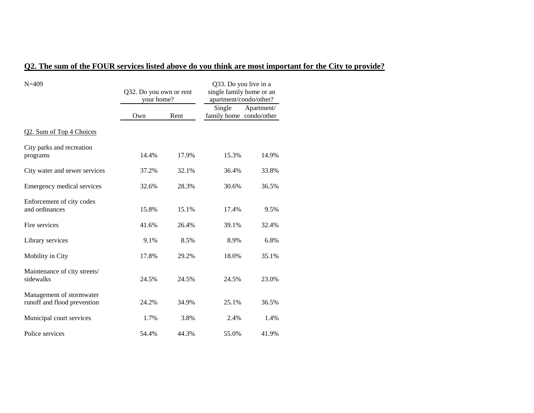# **Q2. The sum of the FOUR services listed above do you think are most important for the City to provide?**

| $N = 409$                                               | Q32. Do you own or rent<br>your home? |       | Q33. Do you live in a<br>single family home or an<br>apartment/condo/other? |            |
|---------------------------------------------------------|---------------------------------------|-------|-----------------------------------------------------------------------------|------------|
|                                                         | Own                                   | Rent  | Single<br>family home condo/other                                           | Apartment/ |
| Q2. Sum of Top 4 Choices                                |                                       |       |                                                                             |            |
| City parks and recreation<br>programs                   | 14.4%                                 | 17.9% | 15.3%                                                                       | 14.9%      |
| City water and sewer services                           | 37.2%                                 | 32.1% | 36.4%                                                                       | 33.8%      |
| Emergency medical services                              | 32.6%                                 | 28.3% | 30.6%                                                                       | 36.5%      |
| Enforcement of city codes<br>and ordinances             | 15.8%                                 | 15.1% | 17.4%                                                                       | 9.5%       |
| Fire services                                           | 41.6%                                 | 26.4% | 39.1%                                                                       | 32.4%      |
| Library services                                        | 9.1%                                  | 8.5%  | 8.9%                                                                        | 6.8%       |
| Mobility in City                                        | 17.8%                                 | 29.2% | 18.0%                                                                       | 35.1%      |
| Maintenance of city streets/<br>sidewalks               | 24.5%                                 | 24.5% | 24.5%                                                                       | 23.0%      |
| Management of stormwater<br>runoff and flood prevention | 24.2%                                 | 34.9% | 25.1%                                                                       | 36.5%      |
| Municipal court services                                | 1.7%                                  | 3.8%  | 2.4%                                                                        | 1.4%       |
| Police services                                         | 54.4%                                 | 44.3% | 55.0%                                                                       | 41.9%      |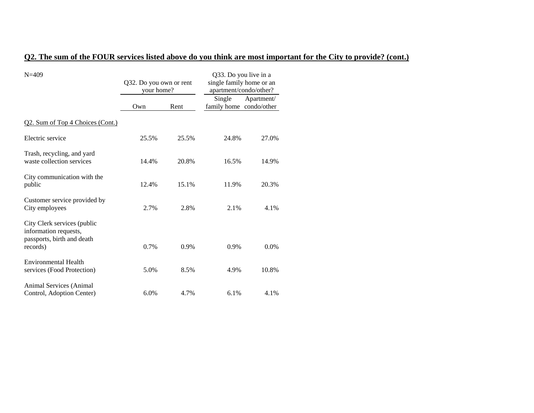### **Q2. The sum of the FOUR services listed above do you think are most important for the City to provide? (cont.)**

| $N = 409$                                                                                      | Q32. Do you own or rent<br>your home? |         | Q33. Do you live in a<br>single family home or an<br>apartment/condo/other? |            |
|------------------------------------------------------------------------------------------------|---------------------------------------|---------|-----------------------------------------------------------------------------|------------|
|                                                                                                | Own                                   | Rent    | Single<br>family home condo/other                                           | Apartment/ |
| Q2. Sum of Top 4 Choices (Cont.)                                                               |                                       |         |                                                                             |            |
| Electric service                                                                               | 25.5%                                 | 25.5%   | 24.8%                                                                       | 27.0%      |
| Trash, recycling, and yard<br>waste collection services                                        | 14.4%                                 | 20.8%   | 16.5%                                                                       | 14.9%      |
| City communication with the<br>public                                                          | 12.4%                                 | 15.1%   | 11.9%                                                                       | 20.3%      |
| Customer service provided by<br>City employees                                                 | 2.7%                                  | 2.8%    | 2.1%                                                                        | 4.1%       |
| City Clerk services (public<br>information requests,<br>passports, birth and death<br>records) | 0.7%                                  | $0.9\%$ | $0.9\%$                                                                     | $0.0\%$    |
| Environmental Health<br>services (Food Protection)                                             | 5.0%                                  | 8.5%    | 4.9%                                                                        | 10.8%      |
| Animal Services (Animal<br>Control, Adoption Center)                                           | 6.0%                                  | 4.7%    | 6.1%                                                                        | 4.1%       |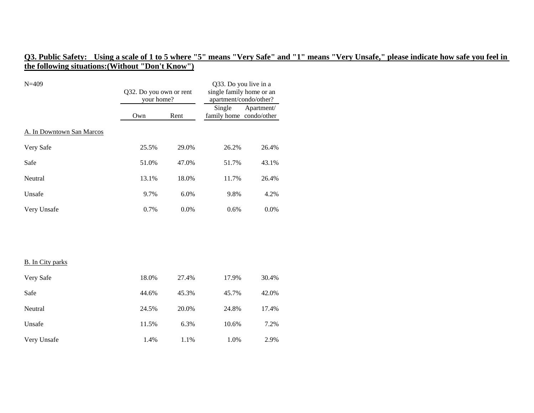# **Q3. Public Safety: Using a scale of 1 to 5 where "5" means "Very Safe" and "1" means "Very Unsafe," please indicate how safe you feel in the following situations:(Without "Don't Know")**

| $N = 409$                 | Q32. Do you own or rent<br>your home? |       | Q33. Do you live in a<br>single family home or an<br>apartment/condo/other? |            |
|---------------------------|---------------------------------------|-------|-----------------------------------------------------------------------------|------------|
|                           | Own                                   | Rent  | Single<br>family home condo/other                                           | Apartment/ |
| A. In Downtown San Marcos |                                       |       |                                                                             |            |
| Very Safe                 | 25.5%                                 | 29.0% | 26.2%                                                                       | 26.4%      |
| Safe                      | 51.0%                                 | 47.0% | 51.7%                                                                       | 43.1%      |
| Neutral                   | 13.1%                                 | 18.0% | 11.7%                                                                       | 26.4%      |
| Unsafe                    | 9.7%                                  | 6.0%  | 9.8%                                                                        | 4.2%       |
| Very Unsafe               | 0.7%                                  | 0.0%  | 0.6%                                                                        | 0.0%       |
|                           |                                       |       |                                                                             |            |
|                           |                                       |       |                                                                             |            |
| <b>B.</b> In City parks   |                                       |       |                                                                             |            |
| Very Safe                 | 18.0%                                 | 27.4% | 17.9%                                                                       | 30.4%      |
| Safe                      | 44.6%                                 | 45.3% | 45.7%                                                                       | 42.0%      |
| Neutral                   | 24.5%                                 | 20.0% | 24.8%                                                                       | 17.4%      |
| Unsafe                    | 11.5%                                 | 6.3%  | 10.6%                                                                       | 7.2%       |
| Very Unsafe               | 1.4%                                  | 1.1%  | 1.0%                                                                        | 2.9%       |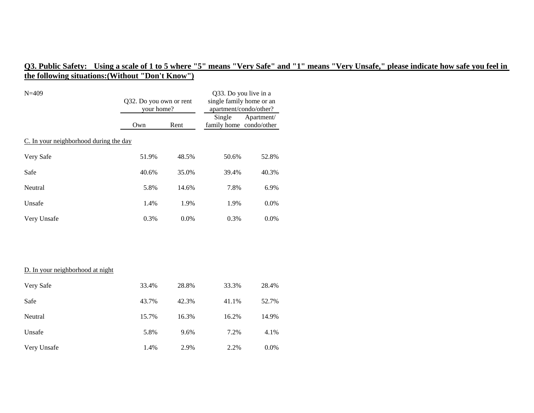# **Q3. Public Safety: Using a scale of 1 to 5 where "5" means "Very Safe" and "1" means "Very Unsafe," please indicate how safe you feel in the following situations:(Without "Don't Know")**

| $N = 409$                              | Q32. Do you own or rent<br>your home? |       | Q33. Do you live in a<br>single family home or an<br>apartment/condo/other? |            |
|----------------------------------------|---------------------------------------|-------|-----------------------------------------------------------------------------|------------|
|                                        | Own                                   | Rent  | Single<br>family home condo/other                                           | Apartment/ |
| C. In your neighborhood during the day |                                       |       |                                                                             |            |
| Very Safe                              | 51.9%                                 | 48.5% | 50.6%                                                                       | 52.8%      |
| Safe                                   | 40.6%                                 | 35.0% | 39.4%                                                                       | 40.3%      |
| Neutral                                | 5.8%                                  | 14.6% | 7.8%                                                                        | 6.9%       |
| Unsafe                                 | 1.4%                                  | 1.9%  | 1.9%                                                                        | 0.0%       |
| Very Unsafe                            | 0.3%                                  | 0.0%  | 0.3%                                                                        | 0.0%       |
|                                        |                                       |       |                                                                             |            |
| D. In your neighborhood at night       |                                       |       |                                                                             |            |
| Very Safe                              | 33.4%                                 | 28.8% | 33.3%                                                                       | 28.4%      |
| Safe                                   | 43.7%                                 | 42.3% | 41.1%                                                                       | 52.7%      |
| Neutral                                | 15.7%                                 | 16.3% | 16.2%                                                                       | 14.9%      |
| Unsafe                                 | 5.8%                                  | 9.6%  | 7.2%                                                                        | 4.1%       |
| Very Unsafe                            | 1.4%                                  | 2.9%  | 2.2%                                                                        | 0.0%       |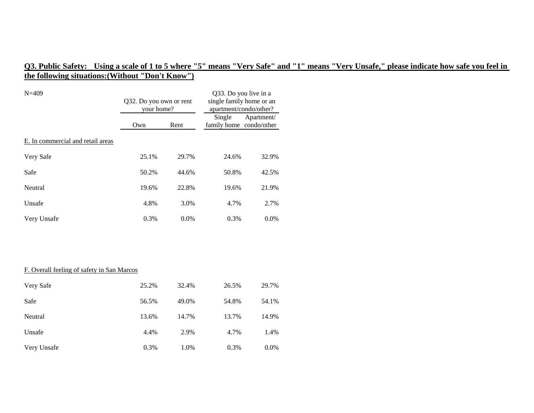# **Q3. Public Safety: Using a scale of 1 to 5 where "5" means "Very Safe" and "1" means "Very Unsafe," please indicate how safe you feel in the following situations:(Without "Don't Know")**

| $N = 409$                         | Q32. Do you own or rent<br>your home? |         | Q33. Do you live in a<br>single family home or an<br>apartment/condo/other? |            |
|-----------------------------------|---------------------------------------|---------|-----------------------------------------------------------------------------|------------|
|                                   | Own                                   | Rent    | Single<br>family home condo/other                                           | Apartment/ |
| E. In commercial and retail areas |                                       |         |                                                                             |            |
| Very Safe                         | 25.1%                                 | 29.7%   | 24.6%                                                                       | 32.9%      |
| Safe                              | 50.2%                                 | 44.6%   | 50.8%                                                                       | 42.5%      |
| Neutral                           | 19.6%                                 | 22.8%   | 19.6%                                                                       | 21.9%      |
| Unsafe                            | 4.8%                                  | 3.0%    | 4.7%                                                                        | 2.7%       |
| Very Unsafe                       | 0.3%                                  | $0.0\%$ | 0.3%                                                                        | $0.0\%$    |

#### F. Overall feeling of safety in San Marcos

| Very Safe   | 25.2% | 32.4% | 26.5% | 29.7%   |
|-------------|-------|-------|-------|---------|
| Safe        | 56.5% | 49.0% | 54.8% | 54.1%   |
| Neutral     | 13.6% | 14.7% | 13.7% | 14.9%   |
| Unsafe      | 4.4%  | 2.9%  | 4.7%  | 1.4%    |
| Very Unsafe | 0.3%  | 1.0%  | 0.3%  | $0.0\%$ |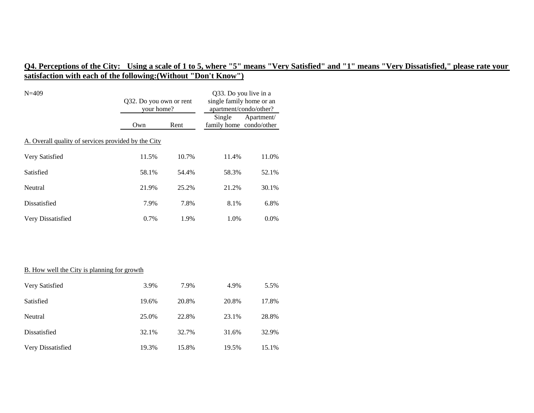| Q32. Do you own or rent<br>your home?               |       | Q33. Do you live in a<br>single family home or an<br>apartment/condo/other? |                                   |
|-----------------------------------------------------|-------|-----------------------------------------------------------------------------|-----------------------------------|
| Own                                                 | Rent  |                                                                             | Apartment/                        |
| A. Overall quality of services provided by the City |       |                                                                             |                                   |
| 11.5%                                               | 10.7% | 11.4%                                                                       | 11.0%                             |
| 58.1%                                               | 54.4% | 58.3%                                                                       | 52.1%                             |
| 21.9%                                               | 25.2% | 21.2%                                                                       | 30.1%                             |
| 7.9%                                                | 7.8%  | 8.1%                                                                        | 6.8%                              |
| 0.7%                                                | 1.9%  | 1.0%                                                                        | 0.0%                              |
|                                                     |       |                                                                             |                                   |
|                                                     |       |                                                                             |                                   |
| <b>B.</b> How well the City is planning for growth  |       |                                                                             |                                   |
| 3.9%                                                | 7.9%  | 4.9%                                                                        | 5.5%                              |
| 19.6%                                               | 20.8% | 20.8%                                                                       | 17.8%                             |
| 25.0%                                               | 22.8% | 23.1%                                                                       | 28.8%                             |
| 32.1%                                               | 32.7% | 31.6%                                                                       | 32.9%                             |
|                                                     |       |                                                                             | Single<br>family home condo/other |

Very Dissatisfied 19.3% 15.8% 19.5% 15.1%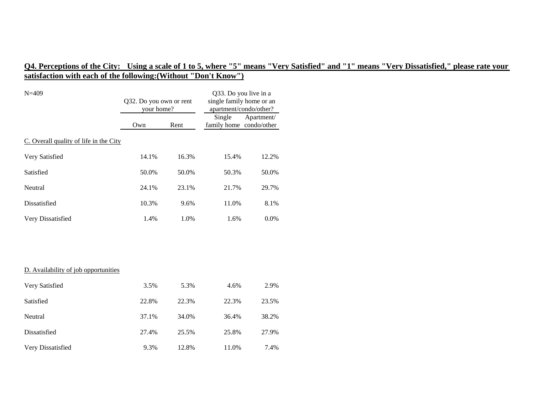| $N = 409$                              | Q32. Do you own or rent<br>your home? |       | Q33. Do you live in a<br>single family home or an<br>apartment/condo/other? |            |  |  |  |
|----------------------------------------|---------------------------------------|-------|-----------------------------------------------------------------------------|------------|--|--|--|
|                                        | Own                                   | Rent  | Single<br>family home condo/other                                           | Apartment/ |  |  |  |
| C. Overall quality of life in the City |                                       |       |                                                                             |            |  |  |  |
| Very Satisfied                         | 14.1%                                 | 16.3% | 15.4%                                                                       | 12.2%      |  |  |  |
| Satisfied                              | 50.0%                                 | 50.0% | 50.3%                                                                       | 50.0%      |  |  |  |
| Neutral                                | 24.1%                                 | 23.1% | 21.7%                                                                       | 29.7%      |  |  |  |
| Dissatisfied                           | 10.3%                                 | 9.6%  | 11.0%                                                                       | 8.1%       |  |  |  |
| Very Dissatisfied                      | 1.4%                                  | 1.0%  | 1.6%                                                                        | 0.0%       |  |  |  |
|                                        |                                       |       |                                                                             |            |  |  |  |
|                                        |                                       |       |                                                                             |            |  |  |  |
| D. Availability of job opportunities   |                                       |       |                                                                             |            |  |  |  |
| Very Satisfied                         | 3.5%                                  | 5.3%  | 4.6%                                                                        | 2.9%       |  |  |  |
| Satisfied                              | 22.8%                                 | 22.3% | 22.3%                                                                       | 23.5%      |  |  |  |
| Neutral                                | 37.1%                                 | 34.0% | 36.4%                                                                       | 38.2%      |  |  |  |
| Dissatisfied                           | 27.4%                                 | 25.5% | 25.8%                                                                       | 27.9%      |  |  |  |
| Very Dissatisfied                      | 9.3%                                  | 12.8% | 11.0%                                                                       | 7.4%       |  |  |  |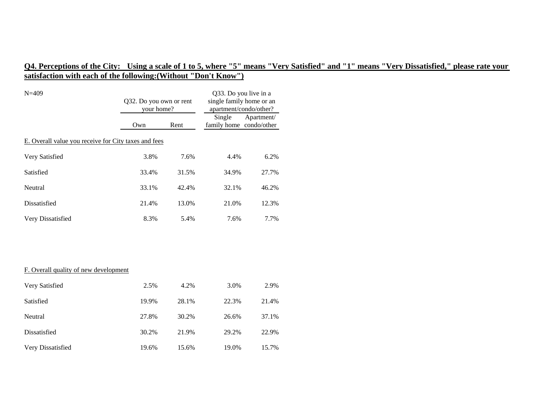| $N = 409$                                            | Q32. Do you own or rent<br>your home? |       | Q33. Do you live in a<br>single family home or an<br>apartment/condo/other? |            |  |  |  |
|------------------------------------------------------|---------------------------------------|-------|-----------------------------------------------------------------------------|------------|--|--|--|
|                                                      | Own                                   | Rent  | Single<br>family home condo/other                                           | Apartment/ |  |  |  |
| E. Overall value you receive for City taxes and fees |                                       |       |                                                                             |            |  |  |  |
| Very Satisfied                                       | 3.8%                                  | 7.6%  | 4.4%                                                                        | 6.2%       |  |  |  |
| Satisfied                                            | 33.4%                                 | 31.5% | 34.9%                                                                       | 27.7%      |  |  |  |
| Neutral                                              | 33.1%                                 | 42.4% | 32.1%                                                                       | 46.2%      |  |  |  |
| Dissatisfied                                         | 21.4%                                 | 13.0% | 21.0%                                                                       | 12.3%      |  |  |  |
| Very Dissatisfied                                    | 8.3%                                  | 5.4%  | 7.6%                                                                        | 7.7%       |  |  |  |
|                                                      |                                       |       |                                                                             |            |  |  |  |
|                                                      |                                       |       |                                                                             |            |  |  |  |
| F. Overall quality of new development                |                                       |       |                                                                             |            |  |  |  |
| Very Satisfied                                       | 2.5%                                  | 4.2%  | 3.0%                                                                        | 2.9%       |  |  |  |
| Satisfied                                            | 19.9%                                 | 28.1% | 22.3%                                                                       | 21.4%      |  |  |  |
| Neutral                                              | 27.8%                                 | 30.2% | 26.6%                                                                       | 37.1%      |  |  |  |
| Dissatisfied                                         | 30.2%                                 | 21.9% | 29.2%                                                                       | 22.9%      |  |  |  |
| Very Dissatisfied                                    | 19.6%                                 | 15.6% | 19.0%                                                                       | 15.7%      |  |  |  |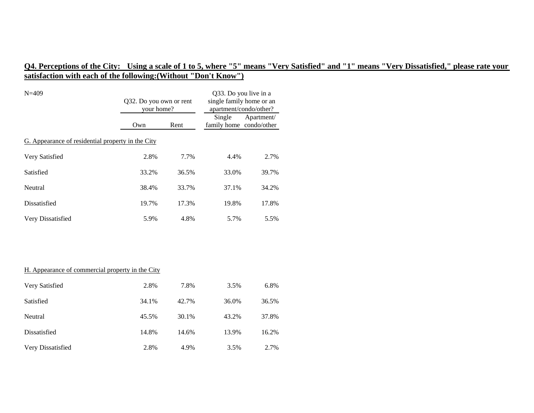| $N = 409$                                         | Q32. Do you own or rent<br>your home? |       | Q33. Do you live in a<br>single family home or an<br>apartment/condo/other? |            |  |  |
|---------------------------------------------------|---------------------------------------|-------|-----------------------------------------------------------------------------|------------|--|--|
|                                                   | Own                                   | Rent  | Single<br>family home condo/other                                           | Apartment/ |  |  |
| G. Appearance of residential property in the City |                                       |       |                                                                             |            |  |  |
| Very Satisfied                                    | 2.8%                                  | 7.7%  | 4.4%                                                                        | 2.7%       |  |  |
| Satisfied                                         | 33.2%                                 | 36.5% | 33.0%                                                                       | 39.7%      |  |  |
| Neutral                                           | 38.4%                                 | 33.7% | 37.1%                                                                       | 34.2%      |  |  |
| Dissatisfied                                      | 19.7%                                 | 17.3% | 19.8%                                                                       | 17.8%      |  |  |
| Very Dissatisfied                                 | 5.9%                                  | 4.8%  | 5.7%                                                                        | 5.5%       |  |  |
|                                                   |                                       |       |                                                                             |            |  |  |
|                                                   |                                       |       |                                                                             |            |  |  |
| H. Appearance of commercial property in the City  |                                       |       |                                                                             |            |  |  |
| Very Satisfied                                    | 2.8%                                  | 7.8%  | 3.5%                                                                        | 6.8%       |  |  |
| Satisfied                                         | 34.1%                                 | 42.7% | 36.0%                                                                       | 36.5%      |  |  |
| Neutral                                           | 45.5%                                 | 30.1% | 43.2%                                                                       | 37.8%      |  |  |
| Dissatisfied                                      | 14.8%                                 | 14.6% | 13.9%                                                                       | 16.2%      |  |  |

Very Dissatisfied 2.8% 4.9% 3.5% 2.7%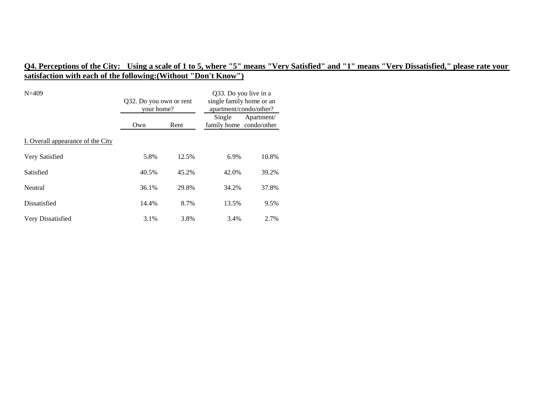| $N = 409$                         | Q32. Do you own or rent<br>your home? |       | Q33. Do you live in a<br>single family home or an<br>apartment/condo/other? |            |
|-----------------------------------|---------------------------------------|-------|-----------------------------------------------------------------------------|------------|
|                                   | Own                                   | Rent  | Single<br>family home condo/other                                           | Apartment/ |
| I. Overall appearance of the City |                                       |       |                                                                             |            |
| Very Satisfied                    | 5.8%                                  | 12.5% | 6.9%                                                                        | 10.8%      |
| Satisfied                         | 40.5%                                 | 45.2% | 42.0%                                                                       | 39.2%      |
| Neutral                           | 36.1%                                 | 29.8% | 34.2%                                                                       | 37.8%      |
| Dissatisfied                      | 14.4%                                 | 8.7%  | 13.5%                                                                       | 9.5%       |
| Very Dissatisfied                 | 3.1%                                  | 3.8%  | 3.4%                                                                        | 2.7%       |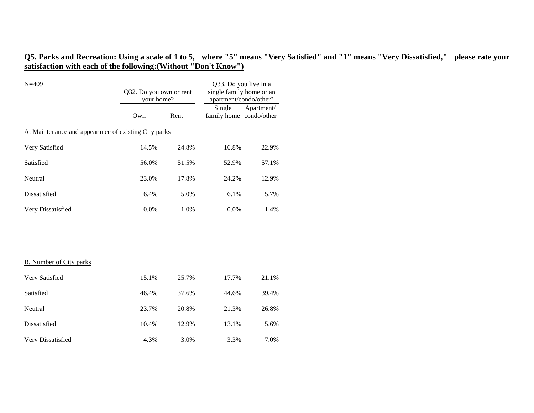| $N = 409$                                            | Q32. Do you own or rent<br>your home? |       | Q33. Do you live in a<br>single family home or an<br>apartment/condo/other? |            |  |  |
|------------------------------------------------------|---------------------------------------|-------|-----------------------------------------------------------------------------|------------|--|--|
|                                                      | Own                                   | Rent  | Single<br>family home condo/other                                           | Apartment/ |  |  |
| A. Maintenance and appearance of existing City parks |                                       |       |                                                                             |            |  |  |
| Very Satisfied                                       | 14.5%                                 | 24.8% | 16.8%                                                                       | 22.9%      |  |  |
| Satisfied                                            | 56.0%                                 | 51.5% | 52.9%                                                                       | 57.1%      |  |  |
| Neutral                                              | 23.0%                                 | 17.8% | 24.2%                                                                       | 12.9%      |  |  |
| Dissatisfied                                         | 6.4%                                  | 5.0%  | 6.1%                                                                        | 5.7%       |  |  |
| Very Dissatisfied                                    | 0.0%                                  | 1.0%  | 0.0%                                                                        | 1.4%       |  |  |
|                                                      |                                       |       |                                                                             |            |  |  |
| <b>B.</b> Number of City parks                       |                                       |       |                                                                             |            |  |  |
| Very Satisfied                                       | 15.1%                                 | 25.7% | 17.7%                                                                       | 21.1%      |  |  |
| Satisfied                                            | 46.4%                                 | 37.6% | 44.6%                                                                       | 39.4%      |  |  |
| Neutral                                              | 23.7%                                 | 20.8% | 21.3%                                                                       | 26.8%      |  |  |
| Dissatisfied                                         | 10.4%                                 | 12.9% | 13.1%                                                                       | 5.6%       |  |  |
| Very Dissatisfied                                    | 4.3%                                  | 3.0%  | 3.3%                                                                        | 7.0%       |  |  |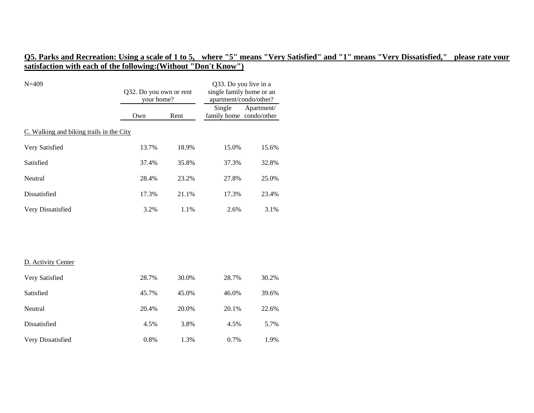| $N = 409$                                | Q32. Do you own or rent<br>your home? |       | Q33. Do you live in a<br>single family home or an<br>apartment/condo/other? |            |  |  |
|------------------------------------------|---------------------------------------|-------|-----------------------------------------------------------------------------|------------|--|--|
|                                          | Own                                   | Rent  | Single<br>family home condo/other                                           | Apartment/ |  |  |
| C. Walking and biking trails in the City |                                       |       |                                                                             |            |  |  |
| Very Satisfied                           | 13.7%                                 | 18.9% | 15.0%                                                                       | 15.6%      |  |  |
| Satisfied                                | 37.4%                                 | 35.8% | 37.3%                                                                       | 32.8%      |  |  |
| Neutral                                  | 28.4%                                 | 23.2% | 27.8%                                                                       | 25.0%      |  |  |
| Dissatisfied                             | 17.3%                                 | 21.1% | 17.3%                                                                       | 23.4%      |  |  |
| Very Dissatisfied                        | 3.2%                                  | 1.1%  | 2.6%                                                                        | 3.1%       |  |  |
|                                          |                                       |       |                                                                             |            |  |  |
| D. Activity Center                       |                                       |       |                                                                             |            |  |  |
| Very Satisfied                           | 28.7%                                 | 30.0% | 28.7%                                                                       | 30.2%      |  |  |
| Satisfied                                | 45.7%                                 | 45.0% | 46.0%                                                                       | 39.6%      |  |  |
| Neutral                                  | 20.4%                                 | 20.0% | 20.1%                                                                       | 22.6%      |  |  |
| Dissatisfied                             | 4.5%                                  | 3.8%  | 4.5%                                                                        | 5.7%       |  |  |
| Very Dissatisfied                        | 0.8%                                  | 1.3%  | 0.7%                                                                        | 1.9%       |  |  |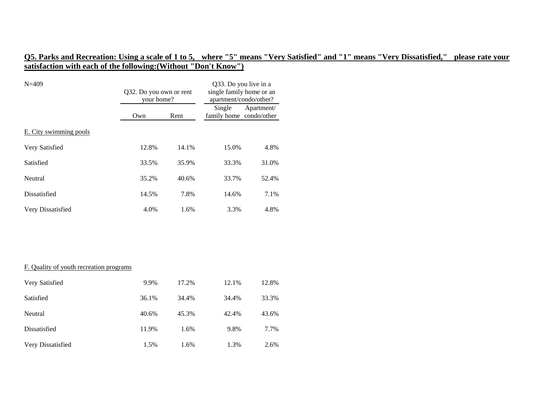| $N = 409$                               | Q32. Do you own or rent<br>your home? |       | Q33. Do you live in a<br>single family home or an<br>apartment/condo/other? |            |
|-----------------------------------------|---------------------------------------|-------|-----------------------------------------------------------------------------|------------|
|                                         | Own                                   | Rent  | Single<br>family home condo/other                                           | Apartment/ |
| E. City swimming pools                  |                                       |       |                                                                             |            |
| Very Satisfied                          | 12.8%                                 | 14.1% | 15.0%                                                                       | 4.8%       |
| Satisfied                               | 33.5%                                 | 35.9% | 33.3%                                                                       | 31.0%      |
| Neutral                                 | 35.2%                                 | 40.6% | 33.7%                                                                       | 52.4%      |
| Dissatisfied                            | 14.5%                                 | 7.8%  | 14.6%                                                                       | 7.1%       |
| Very Dissatisfied                       | 4.0%                                  | 1.6%  | 3.3%                                                                        | 4.8%       |
|                                         |                                       |       |                                                                             |            |
|                                         |                                       |       |                                                                             |            |
|                                         |                                       |       |                                                                             |            |
| F. Quality of youth recreation programs |                                       |       |                                                                             |            |

| Very Satisfied    | 9.9%  | 17.2% | 12.1% | 12.8% |
|-------------------|-------|-------|-------|-------|
| Satisfied         | 36.1% | 34.4% | 34.4% | 33.3% |
| Neutral           | 40.6% | 45.3% | 42.4% | 43.6% |
| Dissatisfied      | 11.9% | 1.6%  | 9.8%  | 7.7%  |
| Very Dissatisfied | 1.5%  | 1.6%  | 1.3%  | 2.6%  |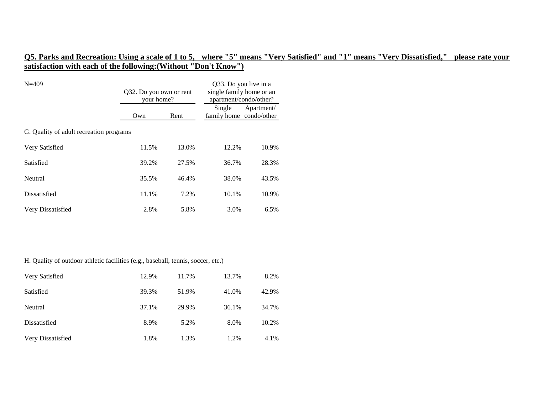| $N = 409$                               | Q32. Do you own or rent<br>your home? |       | Q33. Do you live in a<br>single family home or an<br>apartment/condo/other? |            |
|-----------------------------------------|---------------------------------------|-------|-----------------------------------------------------------------------------|------------|
|                                         | Own                                   | Rent  | Single<br>family home condo/other                                           | Apartment/ |
| G. Quality of adult recreation programs |                                       |       |                                                                             |            |
| Very Satisfied                          | 11.5%                                 | 13.0% | 12.2%                                                                       | 10.9%      |
| Satisfied                               | 39.2%                                 | 27.5% | 36.7%                                                                       | 28.3%      |
| Neutral                                 | 35.5%                                 | 46.4% | 38.0%                                                                       | 43.5%      |
| Dissatisfied                            | 11.1%                                 | 7.2%  | 10.1%                                                                       | 10.9%      |
| Very Dissatisfied                       | 2.8%                                  | 5.8%  | 3.0%                                                                        | 6.5%       |

| H. Quality of outdoor athletic facilities (e.g., baseball, tennis, soccer, etc.) |       |       |       |       |
|----------------------------------------------------------------------------------|-------|-------|-------|-------|
| Very Satisfied                                                                   | 12.9% | 11.7% | 13.7% | 8.2%  |
| Satisfied                                                                        | 39.3% | 51.9% | 41.0% | 42.9% |
| Neutral                                                                          | 37.1% | 29.9% | 36.1% | 34.7% |
| Dissatisfied                                                                     | 8.9%  | 5.2%  | 8.0%  | 10.2% |
| Very Dissatisfied                                                                | 1.8%  | 1.3%  | 1.2%  | 4.1%  |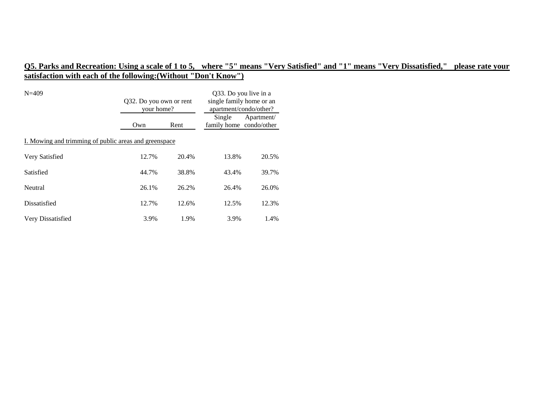| $N=409$                                               | Q32. Do you own or rent<br>your home? |       | Q33. Do you live in a<br>single family home or an<br>apartment/condo/other? |            |  |  |
|-------------------------------------------------------|---------------------------------------|-------|-----------------------------------------------------------------------------|------------|--|--|
|                                                       | Own                                   | Rent  | Single<br>family home condo/other                                           | Apartment/ |  |  |
| I. Mowing and trimming of public areas and greenspace |                                       |       |                                                                             |            |  |  |
| Very Satisfied                                        | 12.7%                                 | 20.4% | 13.8%                                                                       | 20.5%      |  |  |
| Satisfied                                             | 44.7%                                 | 38.8% | 43.4%                                                                       | 39.7%      |  |  |
| Neutral                                               | 26.1%                                 | 26.2% | 26.4%                                                                       | 26.0%      |  |  |
| Dissatisfied                                          | 12.7%                                 | 12.6% | 12.5%                                                                       | 12.3%      |  |  |
| Very Dissatisfied                                     | 3.9%                                  | 1.9%  | 3.9%                                                                        | 1.4%       |  |  |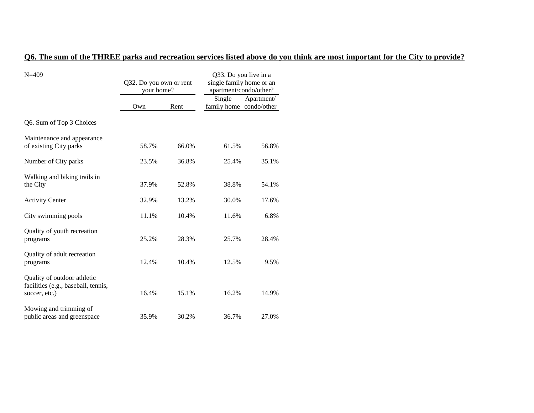### **Q6. The sum of the THREE parks and recreation services listed above do you think are most important for the City to provide?**

| $N = 409$                                                                           | Q32. Do you own or rent<br>your home? |       | Q33. Do you live in a<br>single family home or an<br>apartment/condo/other? |            |
|-------------------------------------------------------------------------------------|---------------------------------------|-------|-----------------------------------------------------------------------------|------------|
|                                                                                     | Own                                   | Rent  | Single<br>family home condo/other                                           | Apartment/ |
| Q6. Sum of Top 3 Choices                                                            |                                       |       |                                                                             |            |
| Maintenance and appearance<br>of existing City parks                                | 58.7%                                 | 66.0% | 61.5%                                                                       | 56.8%      |
| Number of City parks                                                                | 23.5%                                 | 36.8% | 25.4%                                                                       | 35.1%      |
| Walking and biking trails in<br>the City                                            | 37.9%                                 | 52.8% | 38.8%                                                                       | 54.1%      |
| <b>Activity Center</b>                                                              | 32.9%                                 | 13.2% | 30.0%                                                                       | 17.6%      |
| City swimming pools                                                                 | 11.1%                                 | 10.4% | 11.6%                                                                       | 6.8%       |
| Quality of youth recreation<br>programs                                             | 25.2%                                 | 28.3% | 25.7%                                                                       | 28.4%      |
| Quality of adult recreation<br>programs                                             | 12.4%                                 | 10.4% | 12.5%                                                                       | 9.5%       |
| Quality of outdoor athletic<br>facilities (e.g., baseball, tennis,<br>soccer, etc.) | 16.4%                                 | 15.1% | 16.2%                                                                       | 14.9%      |
| Mowing and trimming of<br>public areas and greenspace                               | 35.9%                                 | 30.2% | 36.7%                                                                       | 27.0%      |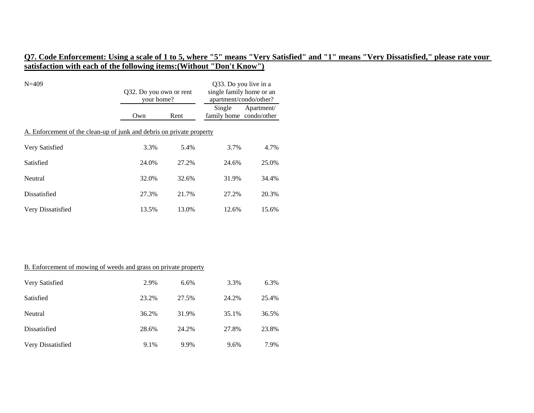| $N = 409$                                                             | Q32. Do you own or rent<br>your home? |       | Q33. Do you live in a<br>single family home or an<br>apartment/condo/other? |            |  |  |
|-----------------------------------------------------------------------|---------------------------------------|-------|-----------------------------------------------------------------------------|------------|--|--|
|                                                                       | Own                                   | Rent  | Single<br>family home condo/other                                           | Apartment/ |  |  |
| A. Enforcement of the clean-up of junk and debris on private property |                                       |       |                                                                             |            |  |  |
| Very Satisfied                                                        | 3.3%                                  | 5.4%  | 3.7%                                                                        | 4.7%       |  |  |
| Satisfied                                                             | 24.0%                                 | 27.2% | 24.6%                                                                       | 25.0%      |  |  |
| Neutral                                                               | 32.0%                                 | 32.6% | 31.9%                                                                       | 34.4%      |  |  |
| Dissatisfied                                                          | 27.3%                                 | 21.7% | 27.2%                                                                       | 20.3%      |  |  |
| Very Dissatisfied                                                     | 13.5%                                 | 13.0% | 12.6%                                                                       | 15.6%      |  |  |

#### B. Enforcement of mowing of weeds and grass on private property

| Very Satisfied    | 2.9%  | 6.6%  | 3.3%  | 6.3%  |
|-------------------|-------|-------|-------|-------|
| Satisfied         | 23.2% | 27.5% | 24.2% | 25.4% |
| Neutral           | 36.2% | 31.9% | 35.1% | 36.5% |
| Dissatisfied      | 28.6% | 24.2% | 27.8% | 23.8% |
| Very Dissatisfied | 9.1%  | 9.9%  | 9.6%  | 7.9%  |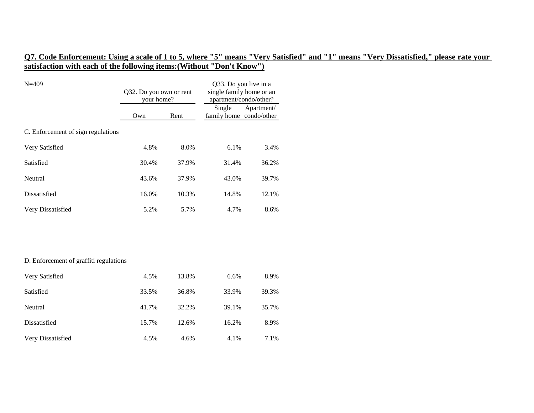| $N = 409$                              | Q32. Do you own or rent<br>your home? |       | Q33. Do you live in a<br>single family home or an<br>apartment/condo/other? |            |
|----------------------------------------|---------------------------------------|-------|-----------------------------------------------------------------------------|------------|
|                                        | Own                                   | Rent  | Single<br>family home condo/other                                           | Apartment/ |
| C. Enforcement of sign regulations     |                                       |       |                                                                             |            |
| Very Satisfied                         | 4.8%                                  | 8.0%  | 6.1%                                                                        | 3.4%       |
| Satisfied                              | 30.4%                                 | 37.9% | 31.4%                                                                       | 36.2%      |
| Neutral                                | 43.6%                                 | 37.9% | 43.0%                                                                       | 39.7%      |
| Dissatisfied                           | 16.0%                                 | 10.3% | 14.8%                                                                       | 12.1%      |
| Very Dissatisfied                      | 5.2%                                  | 5.7%  | 4.7%                                                                        | 8.6%       |
|                                        |                                       |       |                                                                             |            |
|                                        |                                       |       |                                                                             |            |
| D. Enforcement of graffiti regulations |                                       |       |                                                                             |            |
| Very Satisfied                         | 4.5%                                  | 13.8% | 6.6%                                                                        | 8.9%       |
| Satisfied                              | 33.5%                                 | 36.8% | 33.9%                                                                       | 39.3%      |
| Neutral                                | 41.7%                                 | 32.2% | 39.1%                                                                       | 35.7%      |
| Dissatisfied                           | 15.7%                                 | 12.6% | 16.2%                                                                       | 8.9%       |
| Very Dissatisfied                      | 4.5%                                  | 4.6%  | 4.1%                                                                        | 7.1%       |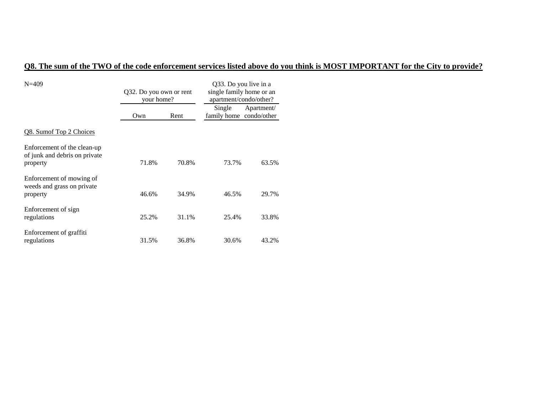# **Q8. The sum of the TWO of the code enforcement services listed above do you think is MOST IMPORTANT for the City to provide?**

| $N = 409$                                                                | Q32. Do you own or rent<br>your home? |       | Q33. Do you live in a<br>single family home or an<br>apartment/condo/other? |            |
|--------------------------------------------------------------------------|---------------------------------------|-------|-----------------------------------------------------------------------------|------------|
|                                                                          | Own                                   | Rent  | Single<br>family home condo/other                                           | Apartment/ |
| Q8. Sumof Top 2 Choices                                                  |                                       |       |                                                                             |            |
| Enforcement of the clean-up<br>of junk and debris on private<br>property | 71.8%                                 | 70.8% | 73.7%                                                                       | 63.5%      |
| Enforcement of mowing of<br>weeds and grass on private<br>property       | 46.6%                                 | 34.9% | 46.5%                                                                       | 29.7%      |
| Enforcement of sign<br>regulations                                       | 25.2%                                 | 31.1% | 25.4%                                                                       | 33.8%      |
| Enforcement of graffiti<br>regulations                                   | 31.5%                                 | 36.8% | 30.6%                                                                       | 43.2%      |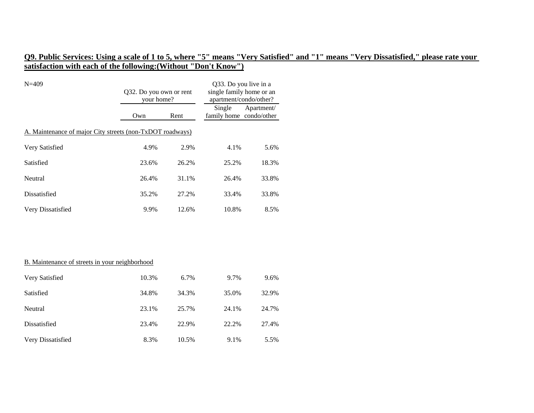| $N=409$                                                   | Q32. Do you own or rent<br>your home? |       | Q33. Do you live in a<br>single family home or an<br>apartment/condo/other? |            |  |  |
|-----------------------------------------------------------|---------------------------------------|-------|-----------------------------------------------------------------------------|------------|--|--|
|                                                           | Own                                   | Rent  | Single<br>family home condo/other                                           | Apartment/ |  |  |
| A. Maintenance of major City streets (non-TxDOT roadways) |                                       |       |                                                                             |            |  |  |
| Very Satisfied                                            | 4.9%                                  | 2.9%  | 4.1%                                                                        | 5.6%       |  |  |
| Satisfied                                                 | 23.6%                                 | 26.2% | 25.2%                                                                       | 18.3%      |  |  |
| Neutral                                                   | 26.4%                                 | 31.1% | 26.4%                                                                       | 33.8%      |  |  |
| Dissatisfied                                              | 35.2%                                 | 27.2% | 33.4%                                                                       | 33.8%      |  |  |
| Very Dissatisfied                                         | 9.9%                                  | 12.6% | 10.8%                                                                       | 8.5%       |  |  |

#### B. Maintenance of streets in your neighborhood

| Very Satisfied    | 10.3% | 6.7%  | 9.7%  | 9.6%  |
|-------------------|-------|-------|-------|-------|
| Satisfied         | 34.8% | 34.3% | 35.0% | 32.9% |
| Neutral           | 23.1% | 25.7% | 24.1% | 24.7% |
| Dissatisfied      | 23.4% | 22.9% | 22.2% | 27.4% |
| Very Dissatisfied | 8.3%  | 10.5% | 9.1%  | 5.5%  |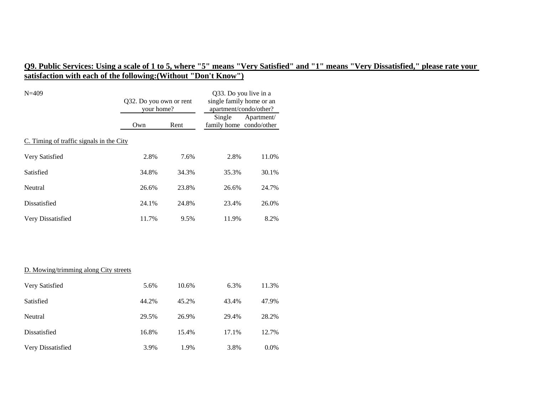28.2%

12.7%

### **Q9. Public Services: Using a scale of 1 to 5, where "5" means "Very Satisfied" and "1" means "Very Dissatisfied," please rate your satisfaction with each of the following:(Without "Don't Know")**

| $N = 409$                                | Q32. Do you own or rent<br>your home? |       | Q33. Do you live in a<br>single family home or an<br>apartment/condo/other? |            |  |  |
|------------------------------------------|---------------------------------------|-------|-----------------------------------------------------------------------------|------------|--|--|
|                                          | Own                                   | Rent  | Single<br>family home condo/other                                           | Apartment/ |  |  |
| C. Timing of traffic signals in the City |                                       |       |                                                                             |            |  |  |
| Very Satisfied                           | 2.8%                                  | 7.6%  | 2.8%                                                                        | 11.0%      |  |  |
| Satisfied                                | 34.8%                                 | 34.3% | 35.3%                                                                       | 30.1%      |  |  |
| Neutral                                  | 26.6%                                 | 23.8% | 26.6%                                                                       | 24.7%      |  |  |
| Dissatisfied                             | 24.1%                                 | 24.8% | 23.4%                                                                       | 26.0%      |  |  |
| Very Dissatisfied                        | 11.7%                                 | 9.5%  | 11.9%                                                                       | 8.2%       |  |  |
|                                          |                                       |       |                                                                             |            |  |  |
|                                          |                                       |       |                                                                             |            |  |  |
| D. Mowing/trimming along City streets    |                                       |       |                                                                             |            |  |  |
| Very Satisfied                           | 5.6%                                  | 10.6% | 6.3%                                                                        | 11.3%      |  |  |

| Very Satisfied | 5.6%  | 10.6% | 6.3%  | 11.3% |
|----------------|-------|-------|-------|-------|
| Satisfied      | 44.2% | 45.2% | 43.4% | 47.9% |
| Neutral        | 29.5% | 26.9% | 29.4% | 28.2% |

Dissatisfied 16.8% 15.4% 17.1%

Very Dissatisfied 3.9% 1.9% 3.8% 0.0%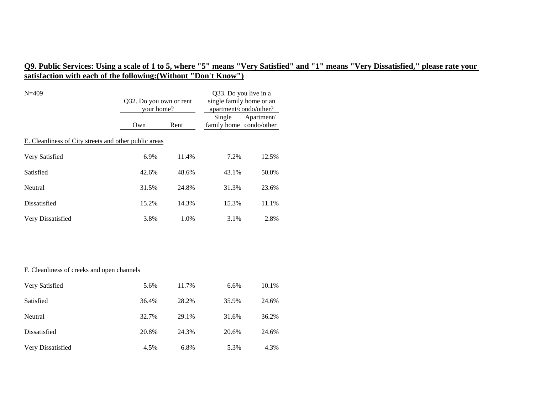| $N = 409$                                             | Q32. Do you own or rent<br>your home? |       | Q33. Do you live in a<br>single family home or an<br>apartment/condo/other? |            |  |  |  |
|-------------------------------------------------------|---------------------------------------|-------|-----------------------------------------------------------------------------|------------|--|--|--|
|                                                       | Own                                   | Rent  | Single<br>family home condo/other                                           | Apartment/ |  |  |  |
| E. Cleanliness of City streets and other public areas |                                       |       |                                                                             |            |  |  |  |
| Very Satisfied                                        | 6.9%                                  | 11.4% | 7.2%                                                                        | 12.5%      |  |  |  |
| Satisfied                                             | 42.6%                                 | 48.6% | 43.1%                                                                       | 50.0%      |  |  |  |
| Neutral                                               | 31.5%                                 | 24.8% | 31.3%                                                                       | 23.6%      |  |  |  |
| Dissatisfied                                          | 15.2%                                 | 14.3% | 15.3%                                                                       | 11.1%      |  |  |  |
| Very Dissatisfied                                     | 3.8%                                  | 1.0%  | 3.1%                                                                        | 2.8%       |  |  |  |
|                                                       |                                       |       |                                                                             |            |  |  |  |
|                                                       |                                       |       |                                                                             |            |  |  |  |
| F. Cleanliness of creeks and open channels            |                                       |       |                                                                             |            |  |  |  |
| Very Satisfied                                        | 5.6%                                  | 11.7% | 6.6%                                                                        | 10.1%      |  |  |  |
| Satisfied                                             | 36.4%                                 | 28.2% | 35.9%                                                                       | 24.6%      |  |  |  |
| Neutral                                               | 32.7%                                 | 29.1% | 31.6%                                                                       | 36.2%      |  |  |  |
| Dissatisfied                                          | 20.8%                                 | 24.3% | 20.6%                                                                       | 24.6%      |  |  |  |

Very Dissatisfied 4.5% 6.8% 5.3% 4.3%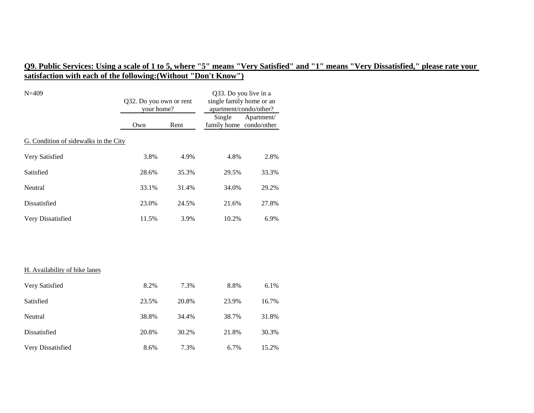| $N = 409$                             | Q32. Do you own or rent<br>your home? |       | Q33. Do you live in a<br>single family home or an<br>apartment/condo/other? |            |
|---------------------------------------|---------------------------------------|-------|-----------------------------------------------------------------------------|------------|
|                                       | Own                                   | Rent  | Single<br>family home condo/other                                           | Apartment/ |
| G. Condition of sidewalks in the City |                                       |       |                                                                             |            |
| Very Satisfied                        | 3.8%                                  | 4.9%  | 4.8%                                                                        | 2.8%       |
| Satisfied                             | 28.6%                                 | 35.3% | 29.5%                                                                       | 33.3%      |
| Neutral                               | 33.1%                                 | 31.4% | 34.0%                                                                       | 29.2%      |
| Dissatisfied                          | 23.0%                                 | 24.5% | 21.6%                                                                       | 27.8%      |
| Very Dissatisfied                     | 11.5%                                 | 3.9%  | 10.2%                                                                       | 6.9%       |
|                                       |                                       |       |                                                                             |            |
|                                       |                                       |       |                                                                             |            |
| H. Availability of bike lanes         |                                       |       |                                                                             |            |
| Very Satisfied                        | 8.2%                                  | 7.3%  | 8.8%                                                                        | 6.1%       |
| Satisfied                             | 23.5%                                 | 20.8% | 23.9%                                                                       | 16.7%      |
| Neutral                               | 38.8%                                 | 34.4% | 38.7%                                                                       | 31.8%      |
| Dissatisfied                          | 20.8%                                 | 30.2% | 21.8%                                                                       | 30.3%      |
| Very Dissatisfied                     | 8.6%                                  | 7.3%  | 6.7%                                                                        | 15.2%      |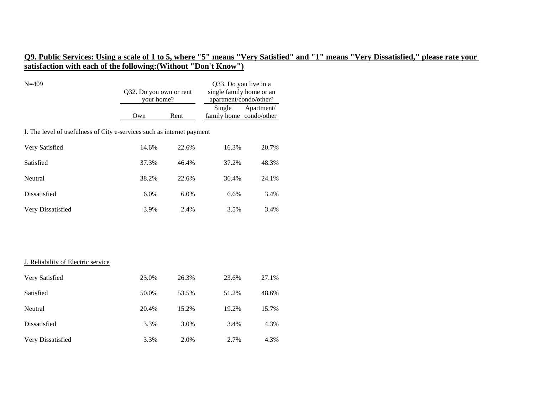| $N = 409$                                                              | Q32. Do you own or rent<br>your home? |       | Q33. Do you live in a<br>single family home or an<br>apartment/condo/other? |            |  |  |  |  |
|------------------------------------------------------------------------|---------------------------------------|-------|-----------------------------------------------------------------------------|------------|--|--|--|--|
|                                                                        | Own                                   | Rent  | Single<br>family home condo/other                                           | Apartment/ |  |  |  |  |
| I. The level of usefulness of City e-services such as internet payment |                                       |       |                                                                             |            |  |  |  |  |
| Very Satisfied                                                         | 14.6%                                 | 22.6% | 16.3%                                                                       | 20.7%      |  |  |  |  |
| Satisfied                                                              | 37.3%                                 | 46.4% | 37.2%                                                                       | 48.3%      |  |  |  |  |
| Neutral                                                                | 38.2%                                 | 22.6% | 36.4%                                                                       | 24.1%      |  |  |  |  |
| Dissatisfied                                                           | 6.0%                                  | 6.0%  | 6.6%                                                                        | 3.4%       |  |  |  |  |
| Very Dissatisfied                                                      | 3.9%                                  | 2.4%  | 3.5%                                                                        | 3.4%       |  |  |  |  |
|                                                                        |                                       |       |                                                                             |            |  |  |  |  |
| J. Reliability of Electric service                                     |                                       |       |                                                                             |            |  |  |  |  |
| Very Satisfied                                                         | 23.0%                                 | 26.3% | 23.6%                                                                       | 27.1%      |  |  |  |  |
| Satisfied                                                              | 50.0%                                 | 53.5% | 51.2%                                                                       | 48.6%      |  |  |  |  |
| Neutral                                                                | 20.4%                                 | 15.2% | 19.2%                                                                       | 15.7%      |  |  |  |  |
| Dissatisfied                                                           | 3.3%                                  | 3.0%  | 3.4%                                                                        | 4.3%       |  |  |  |  |
| Very Dissatisfied                                                      | 3.3%                                  | 2.0%  | 2.7%                                                                        | 4.3%       |  |  |  |  |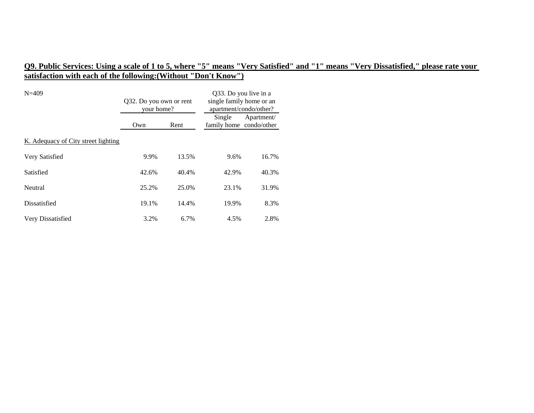| $N = 409$                           | Q32. Do you own or rent<br>your home? |       | Q33. Do you live in a<br>single family home or an<br>apartment/condo/other? |            |
|-------------------------------------|---------------------------------------|-------|-----------------------------------------------------------------------------|------------|
|                                     | Own                                   | Rent  | Single<br>family home condo/other                                           | Apartment/ |
| K. Adequacy of City street lighting |                                       |       |                                                                             |            |
| Very Satisfied                      | 9.9%                                  | 13.5% | 9.6%                                                                        | 16.7%      |
| Satisfied                           | 42.6%                                 | 40.4% | 42.9%                                                                       | 40.3%      |
| Neutral                             | 25.2%                                 | 25.0% | 23.1%                                                                       | 31.9%      |
| Dissatisfied                        | 19.1%                                 | 14.4% | 19.9%                                                                       | 8.3%       |
| Very Dissatisfied                   | 3.2%                                  | 6.7%  | 4.5%                                                                        | 2.8%       |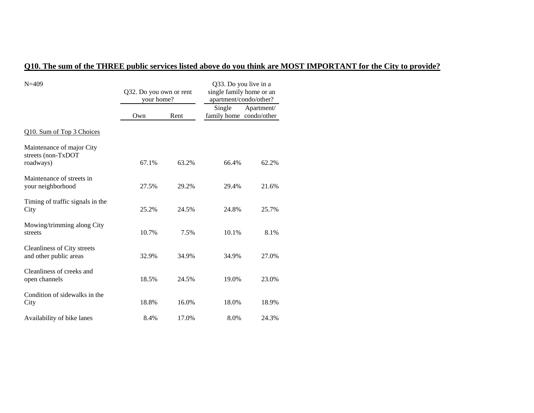# **Q10. The sum of the THREE public services listed above do you think are MOST IMPORTANT for the City to provide?**

| $N = 409$                                                    | Q32. Do you own or rent<br>your home? |       | Q33. Do you live in a<br>single family home or an<br>apartment/condo/other? |            |
|--------------------------------------------------------------|---------------------------------------|-------|-----------------------------------------------------------------------------|------------|
|                                                              | Own                                   | Rent  | Single<br>family home condo/other                                           | Apartment/ |
| Q10. Sum of Top 3 Choices                                    |                                       |       |                                                                             |            |
| Maintenance of major City<br>streets (non-TxDOT<br>roadways) | 67.1%                                 | 63.2% | 66.4%                                                                       | 62.2%      |
| Maintenance of streets in<br>your neighborhood               | 27.5%                                 | 29.2% | 29.4%                                                                       | 21.6%      |
| Timing of traffic signals in the<br>City                     | 25.2%                                 | 24.5% | 24.8%                                                                       | 25.7%      |
| Mowing/trimming along City<br>streets                        | 10.7%                                 | 7.5%  | 10.1%                                                                       | 8.1%       |
| Cleanliness of City streets<br>and other public areas        | 32.9%                                 | 34.9% | 34.9%                                                                       | 27.0%      |
| Cleanliness of creeks and<br>open channels                   | 18.5%                                 | 24.5% | 19.0%                                                                       | 23.0%      |
| Condition of sidewalks in the<br>City                        | 18.8%                                 | 16.0% | 18.0%                                                                       | 18.9%      |
| Availability of bike lanes                                   | 8.4%                                  | 17.0% | 8.0%                                                                        | 24.3%      |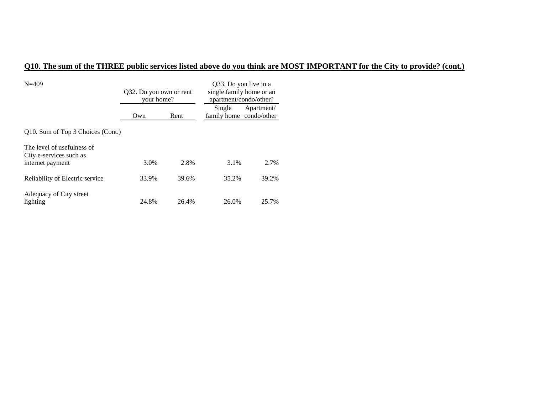# **Q10. The sum of the THREE public services listed above do you think are MOST IMPORTANT for the City to provide? (cont.)**

| $N = 409$                                                                 | Q32. Do you own or rent<br>your home? |       | Q33. Do you live in a<br>single family home or an<br>apartment/condo/other? |            |
|---------------------------------------------------------------------------|---------------------------------------|-------|-----------------------------------------------------------------------------|------------|
|                                                                           | Own                                   | Rent  | Single<br>family home condo/other                                           | Apartment/ |
| Q10. Sum of Top 3 Choices (Cont.)                                         |                                       |       |                                                                             |            |
| The level of usefulness of<br>City e-services such as<br>internet payment | 3.0%                                  | 2.8%  | 3.1%                                                                        | 2.7%       |
| Reliability of Electric service                                           | 33.9%                                 | 39.6% | 35.2%                                                                       | 39.2%      |
| Adequacy of City street<br>lighting                                       | 24.8%                                 | 26.4% | 26.0%                                                                       | 25.7%      |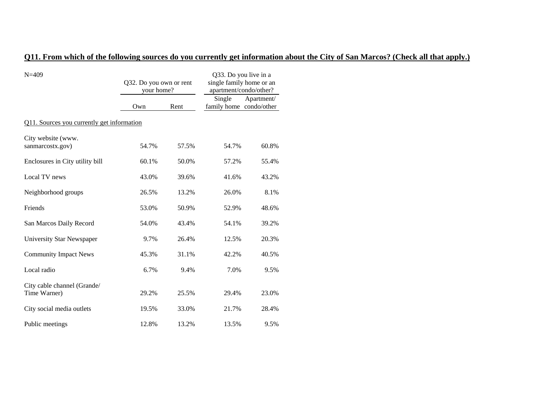# **Q11. From which of the following sources do you currently get information about the City of San Marcos? (Check all that apply.)**

| $N = 409$                                   | Q32. Do you own or rent<br>your home? |       | Q33. Do you live in a<br>single family home or an<br>apartment/condo/other?<br>Single |            |  |  |
|---------------------------------------------|---------------------------------------|-------|---------------------------------------------------------------------------------------|------------|--|--|
|                                             | Own                                   | Rent  | family home condo/other                                                               | Apartment/ |  |  |
| Q11. Sources you currently get information  |                                       |       |                                                                                       |            |  |  |
| City website (www.<br>sanmarcostx.gov)      | 54.7%                                 | 57.5% | 54.7%                                                                                 | 60.8%      |  |  |
| Enclosures in City utility bill             | 60.1%                                 | 50.0% | 57.2%                                                                                 | 55.4%      |  |  |
| Local TV news                               | 43.0%                                 | 39.6% | 41.6%                                                                                 | 43.2%      |  |  |
| Neighborhood groups                         | 26.5%                                 | 13.2% | 26.0%                                                                                 | 8.1%       |  |  |
| Friends                                     | 53.0%                                 | 50.9% | 52.9%                                                                                 | 48.6%      |  |  |
| San Marcos Daily Record                     | 54.0%                                 | 43.4% | 54.1%                                                                                 | 39.2%      |  |  |
| University Star Newspaper                   | 9.7%                                  | 26.4% | 12.5%                                                                                 | 20.3%      |  |  |
| <b>Community Impact News</b>                | 45.3%                                 | 31.1% | 42.2%                                                                                 | 40.5%      |  |  |
| Local radio                                 | 6.7%                                  | 9.4%  | 7.0%                                                                                  | 9.5%       |  |  |
| City cable channel (Grande/<br>Time Warner) | 29.2%                                 | 25.5% | 29.4%                                                                                 | 23.0%      |  |  |
| City social media outlets                   | 19.5%                                 | 33.0% | 21.7%                                                                                 | 28.4%      |  |  |
| Public meetings                             | 12.8%                                 | 13.2% | 13.5%                                                                                 | 9.5%       |  |  |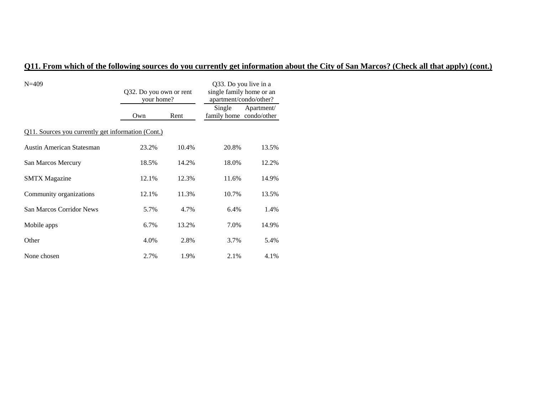# **Q11. From which of the following sources do you currently get information about the City of San Marcos? (Check all that apply) (cont.)**

| $N = 409$                                                 | Q32. Do you own or rent<br>your home? |       | Q33. Do you live in a<br>single family home or an<br>apartment/condo/other? |            |  |  |
|-----------------------------------------------------------|---------------------------------------|-------|-----------------------------------------------------------------------------|------------|--|--|
|                                                           | Own                                   | Rent  | Single<br>family home condo/other                                           | Apartment/ |  |  |
| <u>Q11. Sources you currently get information (Cont.)</u> |                                       |       |                                                                             |            |  |  |
| <b>Austin American Statesman</b>                          | 23.2%                                 | 10.4% | 20.8%                                                                       | 13.5%      |  |  |
| San Marcos Mercury                                        | 18.5%                                 | 14.2% | 18.0%                                                                       | 12.2%      |  |  |
| <b>SMTX</b> Magazine                                      | 12.1%                                 | 12.3% | 11.6%                                                                       | 14.9%      |  |  |
| Community organizations                                   | 12.1%                                 | 11.3% | 10.7%                                                                       | 13.5%      |  |  |
| <b>San Marcos Corridor News</b>                           | 5.7%                                  | 4.7%  | 6.4%                                                                        | 1.4%       |  |  |
| Mobile apps                                               | 6.7%                                  | 13.2% | 7.0%                                                                        | 14.9%      |  |  |
| Other                                                     | 4.0%                                  | 2.8%  | 3.7%                                                                        | 5.4%       |  |  |
| None chosen                                               | 2.7%                                  | 1.9%  | 2.1%                                                                        | 4.1%       |  |  |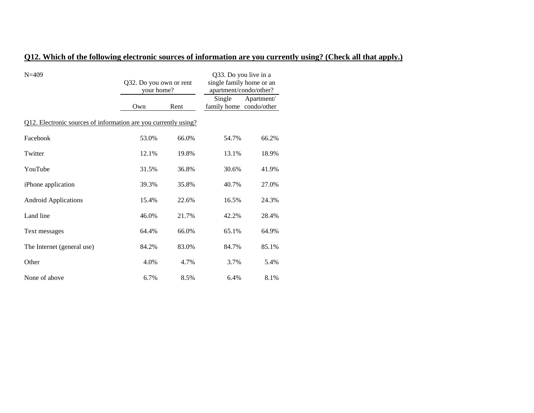### **Q12. Which of the following electronic sources of information are you currently using? (Check all that apply.)**

| $N = 409$                                                              | Q32. Do you own or rent<br>your home? |       | Q33. Do you live in a<br>single family home or an<br>apartment/condo/other? |            |
|------------------------------------------------------------------------|---------------------------------------|-------|-----------------------------------------------------------------------------|------------|
|                                                                        | Own                                   | Rent  | Single<br>family home condo/other                                           | Apartment/ |
| <u>Q12. Electronic sources of information are you currently using?</u> |                                       |       |                                                                             |            |
| Facebook                                                               | 53.0%                                 | 66.0% | 54.7%                                                                       | 66.2%      |
| Twitter                                                                | 12.1%                                 | 19.8% | 13.1%                                                                       | 18.9%      |
| YouTube                                                                | 31.5%                                 | 36.8% | 30.6%                                                                       | 41.9%      |
| iPhone application                                                     | 39.3%                                 | 35.8% | 40.7%                                                                       | 27.0%      |
| <b>Android Applications</b>                                            | 15.4%                                 | 22.6% | 16.5%                                                                       | 24.3%      |
| Land line                                                              | 46.0%                                 | 21.7% | 42.2%                                                                       | 28.4%      |
| Text messages                                                          | 64.4%                                 | 66.0% | 65.1%                                                                       | 64.9%      |
| The Internet (general use)                                             | 84.2%                                 | 83.0% | 84.7%                                                                       | 85.1%      |
| Other                                                                  | 4.0%                                  | 4.7%  | 3.7%                                                                        | 5.4%       |
| None of above                                                          | 6.7%                                  | 8.5%  | 6.4%                                                                        | 8.1%       |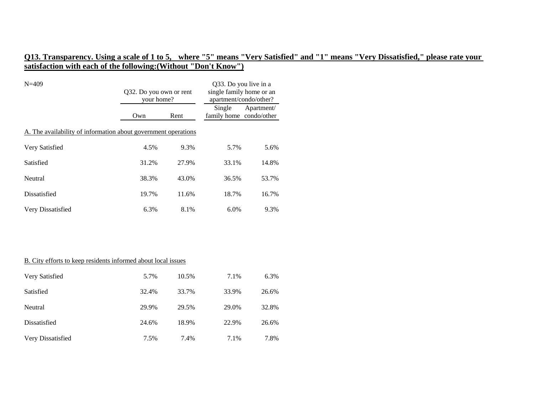| $N = 409$                                                      | Q32. Do you own or rent<br>your home? |       | Q33. Do you live in a<br>single family home or an<br>apartment/condo/other? |            |  |
|----------------------------------------------------------------|---------------------------------------|-------|-----------------------------------------------------------------------------|------------|--|
|                                                                | Own                                   | Rent  | Single<br>family home condo/other                                           | Apartment/ |  |
| A. The availability of information about government operations |                                       |       |                                                                             |            |  |
| Very Satisfied                                                 | 4.5%                                  | 9.3%  | 5.7%                                                                        | 5.6%       |  |
| Satisfied                                                      | 31.2%                                 | 27.9% | 33.1%                                                                       | 14.8%      |  |
| Neutral                                                        | 38.3%                                 | 43.0% | 36.5%                                                                       | 53.7%      |  |
| Dissatisfied                                                   | 19.7%                                 | 11.6% | 18.7%                                                                       | 16.7%      |  |
| Very Dissatisfied                                              | 6.3%                                  | 8.1%  | 6.0%                                                                        | 9.3%       |  |

#### B. City efforts to keep residents informed about local issues

| Very Satisfied    | 5.7%  | 10.5% | 7.1%  | 6.3%  |
|-------------------|-------|-------|-------|-------|
| Satisfied         | 32.4% | 33.7% | 33.9% | 26.6% |
| Neutral           | 29.9% | 29.5% | 29.0% | 32.8% |
| Dissatisfied      | 24.6% | 18.9% | 22.9% | 26.6% |
| Very Dissatisfied | 7.5%  | 7.4%  | 7.1%  | 7.8%  |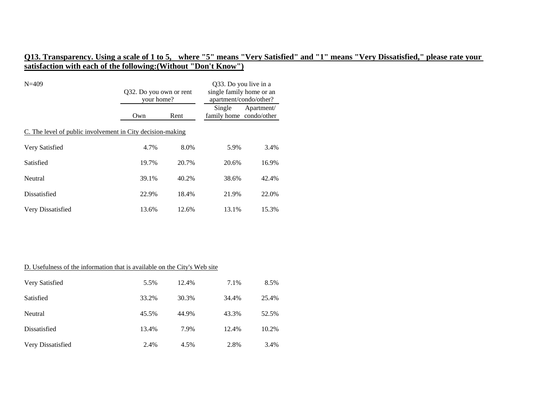| $N = 409$                                                  | Q32. Do you own or rent<br>your home? |       | Q33. Do you live in a<br>single family home or an<br>apartment/condo/other? |            |  |  |
|------------------------------------------------------------|---------------------------------------|-------|-----------------------------------------------------------------------------|------------|--|--|
|                                                            | Own                                   | Rent  | Single<br>family home condo/other                                           | Apartment/ |  |  |
| C. The level of public involvement in City decision-making |                                       |       |                                                                             |            |  |  |
| Very Satisfied                                             | 4.7%                                  | 8.0%  | 5.9%                                                                        | 3.4%       |  |  |
| Satisfied                                                  | 19.7%                                 | 20.7% | 20.6%                                                                       | 16.9%      |  |  |
| Neutral                                                    | 39.1%                                 | 40.2% | 38.6%                                                                       | 42.4%      |  |  |
| Dissatisfied                                               | 22.9%                                 | 18.4% | 21.9%                                                                       | 22.0%      |  |  |
| Very Dissatisfied                                          | 13.6%                                 | 12.6% | 13.1%                                                                       | 15.3%      |  |  |

| D. Usefulness of the information that is available on the City's Web site |       |       |       |       |
|---------------------------------------------------------------------------|-------|-------|-------|-------|
| Very Satisfied                                                            | 5.5%  | 12.4% | 7.1%  | 8.5%  |
| Satisfied                                                                 | 33.2% | 30.3% | 34.4% | 25.4% |
| Neutral                                                                   | 45.5% | 44.9% | 43.3% | 52.5% |
| Dissatisfied                                                              | 13.4% | 7.9%  | 12.4% | 10.2% |
| Very Dissatisfied                                                         | 2.4%  | 4.5%  | 2.8%  | 3.4%  |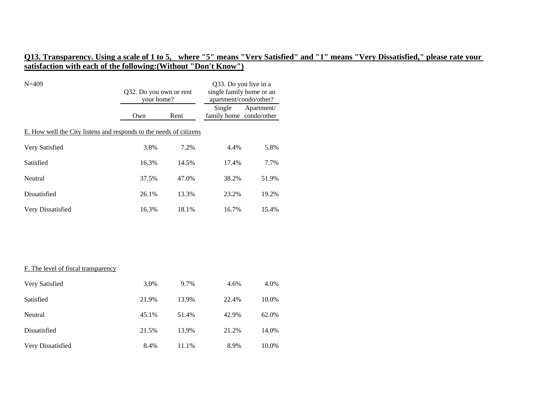| $N = 409$                                                          | Q32. Do you own or rent<br>your home? |       | Q33. Do you live in a<br>single family home or an<br>apartment/condo/other? |            |
|--------------------------------------------------------------------|---------------------------------------|-------|-----------------------------------------------------------------------------|------------|
|                                                                    | Own                                   | Rent  | Single<br>family home condo/other                                           | Apartment/ |
| E. How well the City listens and responds to the needs of citizens |                                       |       |                                                                             |            |
| Very Satisfied                                                     | 3.8%                                  | 7.2%  | 4.4%                                                                        | 5.8%       |
| Satisfied                                                          | 16.3%                                 | 14.5% | 17.4%                                                                       | 7.7%       |
| Neutral                                                            | 37.5%                                 | 47.0% | 38.2%                                                                       | 51.9%      |
| Dissatisfied                                                       | 26.1%                                 | 13.3% | 23.2%                                                                       | 19.2%      |
| Very Dissatisfied                                                  | 16.3%                                 | 18.1% | 16.7%                                                                       | 15.4%      |
|                                                                    |                                       |       |                                                                             |            |
|                                                                    |                                       |       |                                                                             |            |
| F. The level of fiscal transparency                                |                                       |       |                                                                             |            |
| Very Satisfied                                                     | 3.0%                                  | 9.7%  | 4.6%                                                                        | 4.0%       |
| Satisfied                                                          | 21.9%                                 | 13.9% | 22.4%                                                                       | 10.0%      |
| Neutral                                                            | 45.1%                                 | 51.4% | 42.9%                                                                       | 62.0%      |
| Dissatisfied                                                       | 21.5%                                 | 13.9% | 21.2%                                                                       | 14.0%      |
| Very Dissatisfied                                                  | 8.4%                                  | 11.1% | 8.9%                                                                        | 10.0%      |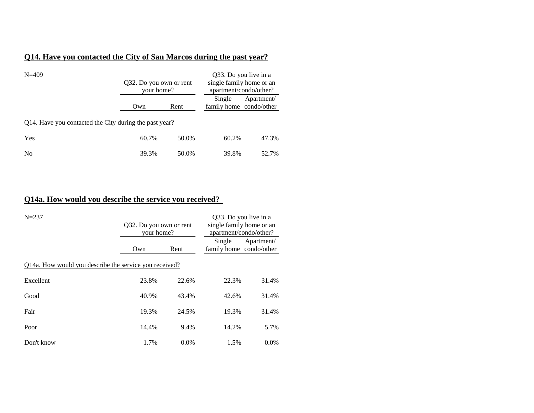### **Q14. Have you contacted the City of San Marcos during the past year?**

| $N = 409$                                              | Q32. Do you own or rent<br>your home? |       | Q33. Do you live in a<br>single family home or an<br>apartment/condo/other? |            |
|--------------------------------------------------------|---------------------------------------|-------|-----------------------------------------------------------------------------|------------|
|                                                        | Own                                   | Rent  | Single<br>family home condo/other                                           | Apartment/ |
| Q14. Have you contacted the City during the past year? |                                       |       |                                                                             |            |
| Yes                                                    | 60.7%                                 | 50.0% | 60.2%                                                                       | 47.3%      |
| N <sub>0</sub>                                         | 39.3%                                 | 50.0% | 39.8%                                                                       | 52.7%      |

### **Q14a. How would you describe the service you received?**

| $N = 237$                                              | Q32. Do you own or rent<br>your home? |         | Q33. Do you live in a<br>single family home or an<br>apartment/condo/other? |            |  |  |
|--------------------------------------------------------|---------------------------------------|---------|-----------------------------------------------------------------------------|------------|--|--|
|                                                        | Own                                   | Rent    | Single<br>family home condo/other                                           | Apartment/ |  |  |
| Q14a. How would you describe the service you received? |                                       |         |                                                                             |            |  |  |
| Excellent                                              | 23.8%                                 | 22.6%   | 22.3%                                                                       | 31.4%      |  |  |
| Good                                                   | 40.9%                                 | 43.4%   | 42.6%                                                                       | 31.4%      |  |  |
| Fair                                                   | 19.3%                                 | 24.5%   | 19.3%                                                                       | 31.4%      |  |  |
| Poor                                                   | 14.4%                                 | 9.4%    | 14.2%                                                                       | 5.7%       |  |  |
| Don't know                                             | 1.7%                                  | $0.0\%$ | 1.5%                                                                        | $0.0\%$    |  |  |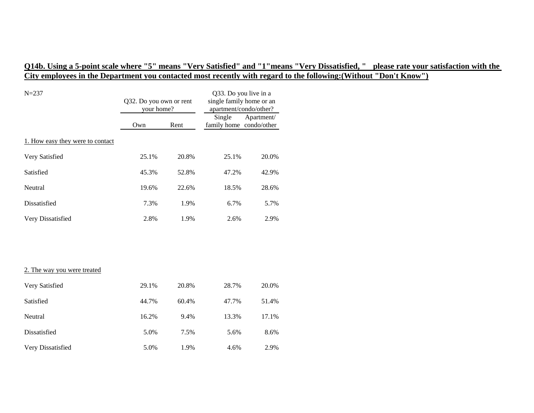# **Q14b. Using a 5-point scale where "5" means "Very Satisfied" and "1"means "Very Dissatisfied, " please rate your satisfaction with the City employees in the Department you contacted most recently with regard to the following:(Without "Don't Know")**

| $N = 237$                        | Q32. Do you own or rent<br>your home? |       | Q33. Do you live in a<br>single family home or an<br>apartment/condo/other? |            |
|----------------------------------|---------------------------------------|-------|-----------------------------------------------------------------------------|------------|
|                                  | Own                                   | Rent  | Single<br>family home condo/other                                           | Apartment/ |
| 1. How easy they were to contact |                                       |       |                                                                             |            |
| Very Satisfied                   | 25.1%                                 | 20.8% | 25.1%                                                                       | 20.0%      |
| Satisfied                        | 45.3%                                 | 52.8% | 47.2%                                                                       | 42.9%      |
| Neutral                          | 19.6%                                 | 22.6% | 18.5%                                                                       | 28.6%      |
| Dissatisfied                     | 7.3%                                  | 1.9%  | 6.7%                                                                        | 5.7%       |
| Very Dissatisfied                | 2.8%                                  | 1.9%  | 2.6%                                                                        | 2.9%       |
|                                  |                                       |       |                                                                             |            |
|                                  |                                       |       |                                                                             |            |
| 2. The way you were treated      |                                       |       |                                                                             |            |
| Very Satisfied                   | 29.1%                                 | 20.8% | 28.7%                                                                       | 20.0%      |
| Satisfied                        | 44.7%                                 | 60.4% | 47.7%                                                                       | 51.4%      |
| Neutral                          | 16.2%                                 | 9.4%  | 13.3%                                                                       | 17.1%      |
| Dissatisfied                     | 5.0%                                  | 7.5%  | 5.6%                                                                        | 8.6%       |
| Very Dissatisfied                | 5.0%                                  | 1.9%  | 4.6%                                                                        | 2.9%       |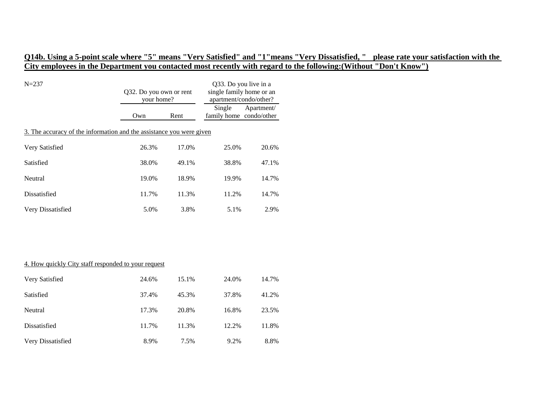## **Q14b. Using a 5-point scale where "5" means "Very Satisfied" and "1"means "Very Dissatisfied, " please rate your satisfaction with the City employees in the Department you contacted most recently with regard to the following:(Without "Don't Know")**

| $N = 237$                                                            | Q32. Do you own or rent<br>your home? |       | Q33. Do you live in a<br>single family home or an<br>apartment/condo/other? |            |  |
|----------------------------------------------------------------------|---------------------------------------|-------|-----------------------------------------------------------------------------|------------|--|
|                                                                      | Own                                   | Rent  | Single<br>family home condo/other                                           | Apartment/ |  |
| 3. The accuracy of the information and the assistance you were given |                                       |       |                                                                             |            |  |
| Very Satisfied                                                       | 26.3%                                 | 17.0% | 25.0%                                                                       | 20.6%      |  |
| Satisfied                                                            | 38.0%                                 | 49.1% | 38.8%                                                                       | 47.1%      |  |
| Neutral                                                              | 19.0%                                 | 18.9% | 19.9%                                                                       | 14.7%      |  |
| Dissatisfied                                                         | 11.7%                                 | 11.3% | 11.2%                                                                       | 14.7%      |  |
| Very Dissatisfied                                                    | 5.0%                                  | 3.8%  | 5.1%                                                                        | 2.9%       |  |

#### 4. How quickly City staff responded to your request

| Very Satisfied    | 24.6% | 15.1% | 24.0% | 14.7% |
|-------------------|-------|-------|-------|-------|
| Satisfied         | 37.4% | 45.3% | 37.8% | 41.2% |
| Neutral           | 17.3% | 20.8% | 16.8% | 23.5% |
| Dissatisfied      | 11.7% | 11.3% | 12.2% | 11.8% |
| Very Dissatisfied | 8.9%  | 7.5%  | 9.2%  | 8.8%  |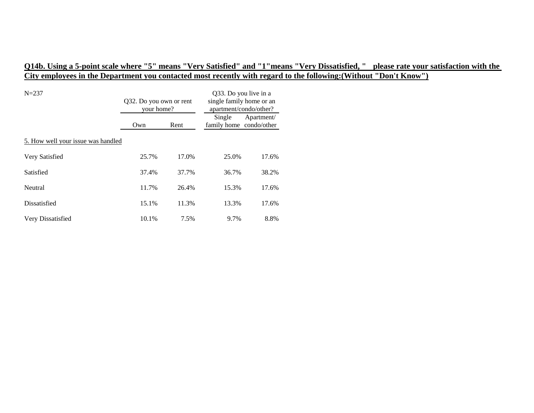# **Q14b. Using a 5-point scale where "5" means "Very Satisfied" and "1"means "Very Dissatisfied, " please rate your satisfaction with the City employees in the Department you contacted most recently with regard to the following:(Without "Don't Know")**

| $N = 237$                          | Q32. Do you own or rent<br>your home? |       | Q33. Do you live in a<br>single family home or an<br>apartment/condo/other? |            |
|------------------------------------|---------------------------------------|-------|-----------------------------------------------------------------------------|------------|
|                                    | Own                                   | Rent  | Single<br>family home condo/other                                           | Apartment/ |
| 5. How well your issue was handled |                                       |       |                                                                             |            |
| Very Satisfied                     | 25.7%                                 | 17.0% | 25.0%                                                                       | 17.6%      |
| Satisfied                          | 37.4%                                 | 37.7% | 36.7%                                                                       | 38.2%      |
| Neutral                            | 11.7%                                 | 26.4% | 15.3%                                                                       | 17.6%      |
| Dissatisfied                       | 15.1%                                 | 11.3% | 13.3%                                                                       | 17.6%      |
| Very Dissatisfied                  | 10.1%                                 | 7.5%  | 9.7%                                                                        | 8.8%       |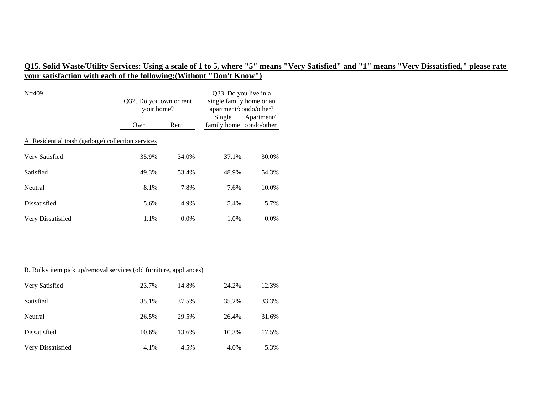| $N = 409$                                          | Q32. Do you own or rent<br>your home? |         | Q33. Do you live in a<br>single family home or an<br>apartment/condo/other? |            |  |
|----------------------------------------------------|---------------------------------------|---------|-----------------------------------------------------------------------------|------------|--|
|                                                    | Own                                   | Rent    | Single<br>family home condo/other                                           | Apartment/ |  |
| A. Residential trash (garbage) collection services |                                       |         |                                                                             |            |  |
| Very Satisfied                                     | 35.9%                                 | 34.0%   | 37.1%                                                                       | 30.0%      |  |
| Satisfied                                          | 49.3%                                 | 53.4%   | 48.9%                                                                       | 54.3%      |  |
| Neutral                                            | 8.1%                                  | 7.8%    | 7.6%                                                                        | 10.0%      |  |
| Dissatisfied                                       | 5.6%                                  | 4.9%    | 5.4%                                                                        | 5.7%       |  |
| Very Dissatisfied                                  | 1.1%                                  | $0.0\%$ | 1.0%                                                                        | $0.0\%$    |  |

# B. Bulky item pick up/removal services (old furniture, appliances)

| Very Satisfied    | 23.7% | 14.8% | 24.2% | 12.3% |
|-------------------|-------|-------|-------|-------|
| Satisfied         | 35.1% | 37.5% | 35.2% | 33.3% |
| Neutral           | 26.5% | 29.5% | 26.4% | 31.6% |
| Dissatisfied      | 10.6% | 13.6% | 10.3% | 17.5% |
| Very Dissatisfied | 4.1%  | 4.5%  | 4.0%  | 5.3%  |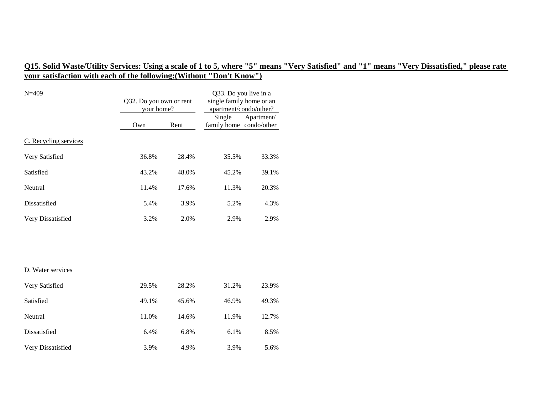| $N = 409$             | Q32. Do you own or rent<br>your home? |       | Q33. Do you live in a<br>single family home or an<br>apartment/condo/other? |            |
|-----------------------|---------------------------------------|-------|-----------------------------------------------------------------------------|------------|
|                       | Own                                   | Rent  | Single<br>family home condo/other                                           | Apartment/ |
| C. Recycling services |                                       |       |                                                                             |            |
| Very Satisfied        | 36.8%                                 | 28.4% | 35.5%                                                                       | 33.3%      |
| Satisfied             | 43.2%                                 | 48.0% | 45.2%                                                                       | 39.1%      |
| Neutral               | 11.4%                                 | 17.6% | 11.3%                                                                       | 20.3%      |
| <b>Dissatisfied</b>   | 5.4%                                  | 3.9%  | 5.2%                                                                        | 4.3%       |
| Very Dissatisfied     | 3.2%                                  | 2.0%  | 2.9%                                                                        | 2.9%       |
|                       |                                       |       |                                                                             |            |
|                       |                                       |       |                                                                             |            |
| D. Water services     |                                       |       |                                                                             |            |
| Very Satisfied        | 29.5%                                 | 28.2% | 31.2%                                                                       | 23.9%      |
| Satisfied             | 49.1%                                 | 45.6% | 46.9%                                                                       | 49.3%      |
| Neutral               | 11.0%                                 | 14.6% | 11.9%                                                                       | 12.7%      |
| Dissatisfied          | 6.4%                                  | 6.8%  | 6.1%                                                                        | 8.5%       |
| Very Dissatisfied     | 3.9%                                  | 4.9%  | 3.9%                                                                        | 5.6%       |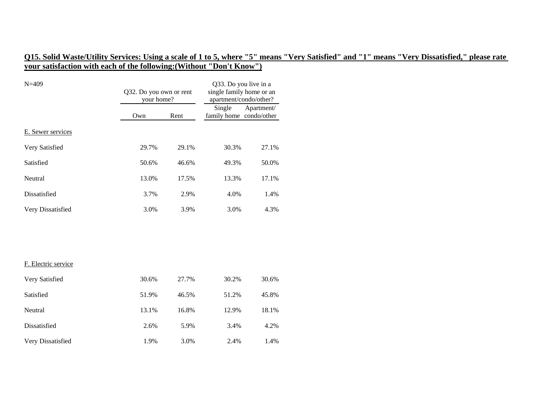| $N = 409$           | Q32. Do you own or rent<br>your home? |       | Q33. Do you live in a<br>single family home or an<br>apartment/condo/other? |            |
|---------------------|---------------------------------------|-------|-----------------------------------------------------------------------------|------------|
|                     | Own                                   | Rent  | Single<br>family home condo/other                                           | Apartment/ |
| E. Sewer services   |                                       |       |                                                                             |            |
| Very Satisfied      | 29.7%                                 | 29.1% | 30.3%                                                                       | 27.1%      |
| Satisfied           | 50.6%                                 | 46.6% | 49.3%                                                                       | 50.0%      |
| Neutral             | 13.0%                                 | 17.5% | 13.3%                                                                       | 17.1%      |
| <b>Dissatisfied</b> | 3.7%                                  | 2.9%  | 4.0%                                                                        | 1.4%       |
| Very Dissatisfied   | 3.0%                                  | 3.9%  | 3.0%                                                                        | 4.3%       |
|                     |                                       |       |                                                                             |            |
|                     |                                       |       |                                                                             |            |
| F. Electric service |                                       |       |                                                                             |            |
| Very Satisfied      | 30.6%                                 | 27.7% | 30.2%                                                                       | 30.6%      |
| Satisfied           | 51.9%                                 | 46.5% | 51.2%                                                                       | 45.8%      |
| Neutral             | 13.1%                                 | 16.8% | 12.9%                                                                       | 18.1%      |
| Dissatisfied        | 2.6%                                  | 5.9%  | 3.4%                                                                        | 4.2%       |
| Very Dissatisfied   | 1.9%                                  | 3.0%  | 2.4%                                                                        | 1.4%       |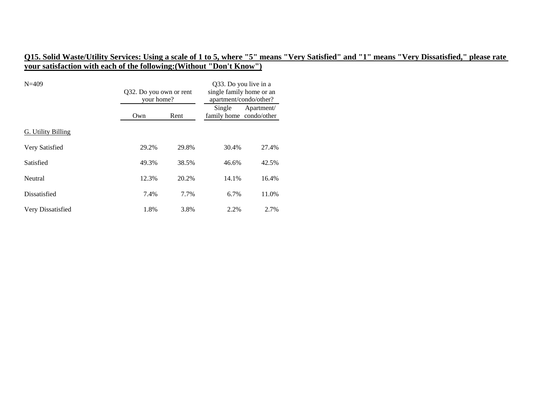| $N = 409$                 | Q32. Do you own or rent<br>your home? |       | Q33. Do you live in a<br>single family home or an<br>apartment/condo/other? |            |
|---------------------------|---------------------------------------|-------|-----------------------------------------------------------------------------|------------|
|                           | Own                                   | Rent  | Single<br>family home condo/other                                           | Apartment/ |
| <b>G. Utility Billing</b> |                                       |       |                                                                             |            |
| Very Satisfied            | 29.2%                                 | 29.8% | 30.4%                                                                       | 27.4%      |
| Satisfied                 | 49.3%                                 | 38.5% | 46.6%                                                                       | 42.5%      |
| Neutral                   | 12.3%                                 | 20.2% | 14.1%                                                                       | 16.4%      |
| Dissatisfied              | 7.4%                                  | 7.7%  | 6.7%                                                                        | 11.0%      |
| Very Dissatisfied         | 1.8%                                  | 3.8%  | 2.2%                                                                        | 2.7%       |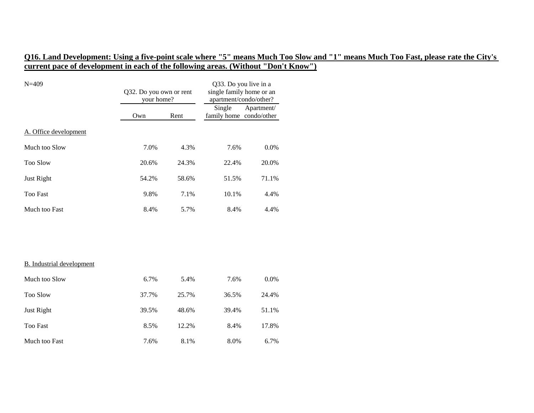# **Q16. Land Development: Using a five-point scale where "5" means Much Too Slow and "1" means Much Too Fast, please rate the City's current pace of development in each of the following areas. (Without "Don't Know")**

| $N = 409$                        | Q32. Do you own or rent<br>your home? |       | Q33. Do you live in a<br>single family home or an<br>apartment/condo/other? |            |
|----------------------------------|---------------------------------------|-------|-----------------------------------------------------------------------------|------------|
|                                  | Own                                   | Rent  | Single<br>family home condo/other                                           | Apartment/ |
| A. Office development            |                                       |       |                                                                             |            |
| Much too Slow                    | 7.0%                                  | 4.3%  | 7.6%                                                                        | 0.0%       |
| <b>Too Slow</b>                  | 20.6%                                 | 24.3% | 22.4%                                                                       | 20.0%      |
| Just Right                       | 54.2%                                 | 58.6% | 51.5%                                                                       | 71.1%      |
| <b>Too Fast</b>                  | 9.8%                                  | 7.1%  | 10.1%                                                                       | 4.4%       |
| Much too Fast                    | 8.4%                                  | 5.7%  | 8.4%                                                                        | 4.4%       |
|                                  |                                       |       |                                                                             |            |
| <b>B.</b> Industrial development |                                       |       |                                                                             |            |
| Much too Slow                    | 6.7%                                  | 5.4%  | 7.6%                                                                        | 0.0%       |
| <b>Too Slow</b>                  | 37.7%                                 | 25.7% | 36.5%                                                                       | 24.4%      |
| Just Right                       | 39.5%                                 | 48.6% | 39.4%                                                                       | 51.1%      |
| <b>Too Fast</b>                  | 8.5%                                  | 12.2% | 8.4%                                                                        | 17.8%      |
| Much too Fast                    | 7.6%                                  | 8.1%  | 8.0%                                                                        | 6.7%       |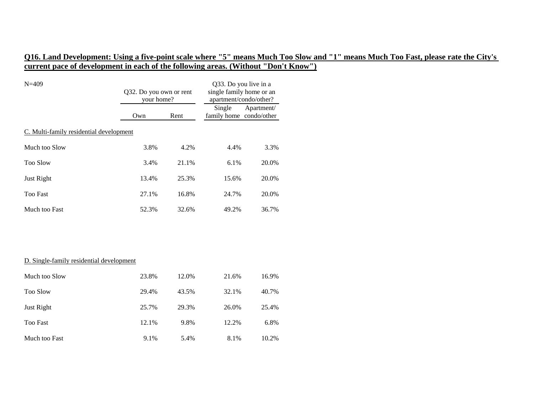# **Q16. Land Development: Using a five-point scale where "5" means Much Too Slow and "1" means Much Too Fast, please rate the City's current pace of development in each of the following areas. (Without "Don't Know")**

| $N = 409$                                | Q32. Do you own or rent<br>your home? |       | Q33. Do you live in a<br>single family home or an<br>apartment/condo/other? |            |
|------------------------------------------|---------------------------------------|-------|-----------------------------------------------------------------------------|------------|
|                                          | Own                                   | Rent  | Single<br>family home condo/other                                           | Apartment/ |
| C. Multi-family residential development  |                                       |       |                                                                             |            |
| Much too Slow                            | 3.8%                                  | 4.2%  | 4.4%                                                                        | 3.3%       |
| <b>Too Slow</b>                          | 3.4%                                  | 21.1% | 6.1%                                                                        | 20.0%      |
| <b>Just Right</b>                        | 13.4%                                 | 25.3% | 15.6%                                                                       | 20.0%      |
| <b>Too Fast</b>                          | 27.1%                                 | 16.8% | 24.7%                                                                       | 20.0%      |
| Much too Fast                            | 52.3%                                 | 32.6% | 49.2%                                                                       | 36.7%      |
|                                          |                                       |       |                                                                             |            |
| D. Single-family residential development |                                       |       |                                                                             |            |
| Much too Slow                            | 23.8%                                 | 12.0% | 21.6%                                                                       | 16.9%      |
| Too Slow                                 | 29.4%                                 | 43.5% | 32.1%                                                                       | 40.7%      |
| Just Right                               | 25.7%                                 | 29.3% | 26.0%                                                                       | 25.4%      |
| <b>Too Fast</b>                          | 12.1%                                 | 9.8%  | 12.2%                                                                       | 6.8%       |
| Much too Fast                            | 9.1%                                  | 5.4%  | 8.1%                                                                        | 10.2%      |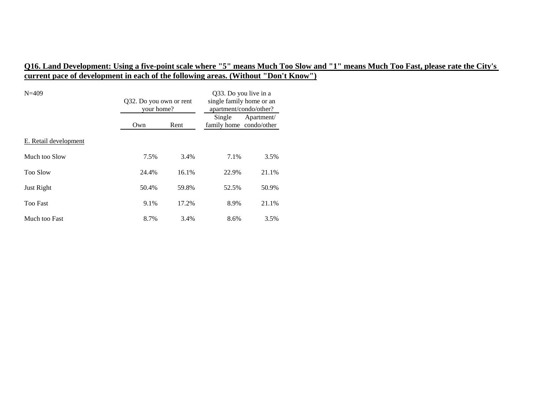# **Q16. Land Development: Using a five-point scale where "5" means Much Too Slow and "1" means Much Too Fast, please rate the City's current pace of development in each of the following areas. (Without "Don't Know")**

| $N = 409$             |       | Q32. Do you own or rent<br>your home? |                                   | Q33. Do you live in a<br>single family home or an<br>apartment/condo/other? |  |
|-----------------------|-------|---------------------------------------|-----------------------------------|-----------------------------------------------------------------------------|--|
|                       | Own   | Rent                                  | Single<br>family home condo/other | Apartment/                                                                  |  |
| E. Retail development |       |                                       |                                   |                                                                             |  |
| Much too Slow         | 7.5%  | 3.4%                                  | 7.1%                              | 3.5%                                                                        |  |
| <b>Too Slow</b>       | 24.4% | 16.1%                                 | 22.9%                             | 21.1%                                                                       |  |
| Just Right            | 50.4% | 59.8%                                 | 52.5%                             | 50.9%                                                                       |  |
| <b>Too Fast</b>       | 9.1%  | 17.2%                                 | 8.9%                              | 21.1%                                                                       |  |
| Much too Fast         | 8.7%  | 3.4%                                  | 8.6%                              | 3.5%                                                                        |  |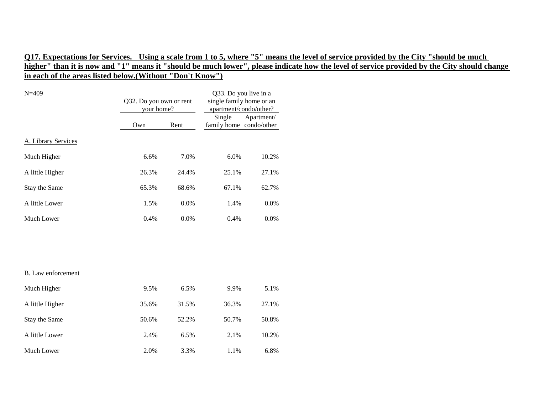| $N = 409$                 | Q32. Do you own or rent<br>your home? |       | Q33. Do you live in a<br>single family home or an<br>apartment/condo/other? |            |  |
|---------------------------|---------------------------------------|-------|-----------------------------------------------------------------------------|------------|--|
|                           | Own                                   | Rent  | Single<br>family home condo/other                                           | Apartment/ |  |
| A. Library Services       |                                       |       |                                                                             |            |  |
| Much Higher               | 6.6%                                  | 7.0%  | 6.0%                                                                        | 10.2%      |  |
| A little Higher           | 26.3%                                 | 24.4% | 25.1%                                                                       | 27.1%      |  |
| Stay the Same             | 65.3%                                 | 68.6% | 67.1%                                                                       | 62.7%      |  |
| A little Lower            | 1.5%                                  | 0.0%  | 1.4%                                                                        | 0.0%       |  |
| Much Lower                | 0.4%                                  | 0.0%  | 0.4%                                                                        | 0.0%       |  |
|                           |                                       |       |                                                                             |            |  |
|                           |                                       |       |                                                                             |            |  |
| <b>B.</b> Law enforcement |                                       |       |                                                                             |            |  |
| Much Higher               | 9.5%                                  | 6.5%  | 9.9%                                                                        | 5.1%       |  |
| A little Higher           | 35.6%                                 | 31.5% | 36.3%                                                                       | 27.1%      |  |
| Stay the Same             | 50.6%                                 | 52.2% | 50.7%                                                                       | 50.8%      |  |
| A little Lower            | 2.4%                                  | 6.5%  | 2.1%                                                                        | 10.2%      |  |
| Much Lower                | 2.0%                                  | 3.3%  | 1.1%                                                                        | 6.8%       |  |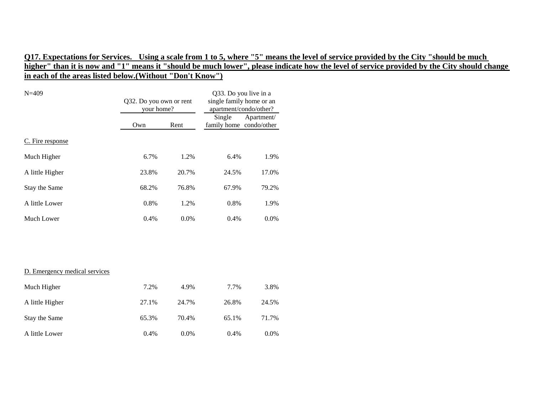| $N = 409$                     | Q32. Do you own or rent<br>your home? |       | Q33. Do you live in a<br>single family home or an<br>apartment/condo/other? |            |
|-------------------------------|---------------------------------------|-------|-----------------------------------------------------------------------------|------------|
|                               | Own                                   | Rent  | Single<br>family home condo/other                                           | Apartment/ |
| C. Fire response              |                                       |       |                                                                             |            |
| Much Higher                   | 6.7%                                  | 1.2%  | 6.4%                                                                        | 1.9%       |
| A little Higher               | 23.8%                                 | 20.7% | 24.5%                                                                       | 17.0%      |
| Stay the Same                 | 68.2%                                 | 76.8% | 67.9%                                                                       | 79.2%      |
| A little Lower                | 0.8%                                  | 1.2%  | 0.8%                                                                        | 1.9%       |
| Much Lower                    | 0.4%                                  | 0.0%  | 0.4%                                                                        | 0.0%       |
|                               |                                       |       |                                                                             |            |
|                               |                                       |       |                                                                             |            |
| D. Emergency medical services |                                       |       |                                                                             |            |
| Much Higher                   | 7.2%                                  | 4.9%  | 7.7%                                                                        | 3.8%       |
| A little Higher               | 27.1%                                 | 24.7% | 26.8%                                                                       | 24.5%      |
| Stay the Same                 | 65.3%                                 | 70.4% | 65.1%                                                                       | 71.7%      |
| A little Lower                | 0.4%                                  | 0.0%  | 0.4%                                                                        | 0.0%       |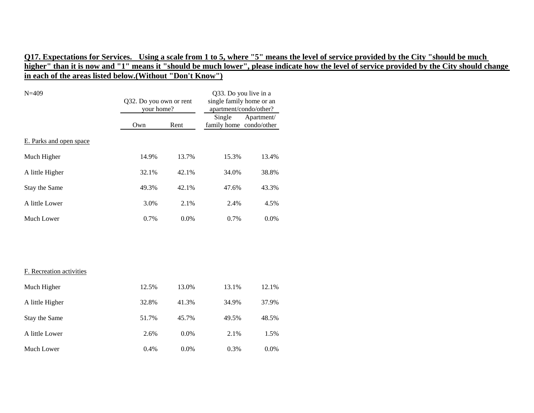| $N = 409$                | Q32. Do you own or rent<br>your home? |       | Q33. Do you live in a<br>single family home or an<br>apartment/condo/other? |            |
|--------------------------|---------------------------------------|-------|-----------------------------------------------------------------------------|------------|
|                          | Own                                   | Rent  | Single<br>family home condo/other                                           | Apartment/ |
| E. Parks and open space  |                                       |       |                                                                             |            |
| Much Higher              | 14.9%                                 | 13.7% | 15.3%                                                                       | 13.4%      |
| A little Higher          | 32.1%                                 | 42.1% | 34.0%                                                                       | 38.8%      |
| Stay the Same            | 49.3%                                 | 42.1% | 47.6%                                                                       | 43.3%      |
| A little Lower           | 3.0%                                  | 2.1%  | 2.4%                                                                        | 4.5%       |
| Much Lower               | 0.7%                                  | 0.0%  | 0.7%                                                                        | 0.0%       |
|                          |                                       |       |                                                                             |            |
|                          |                                       |       |                                                                             |            |
| F. Recreation activities |                                       |       |                                                                             |            |
| Much Higher              | 12.5%                                 | 13.0% | 13.1%                                                                       | 12.1%      |
| A little Higher          | 32.8%                                 | 41.3% | 34.9%                                                                       | 37.9%      |
| Stay the Same            | 51.7%                                 | 45.7% | 49.5%                                                                       | 48.5%      |
| A little Lower           | 2.6%                                  | 0.0%  | 2.1%                                                                        | 1.5%       |
| Much Lower               | 0.4%                                  | 0.0%  | 0.3%                                                                        | 0.0%       |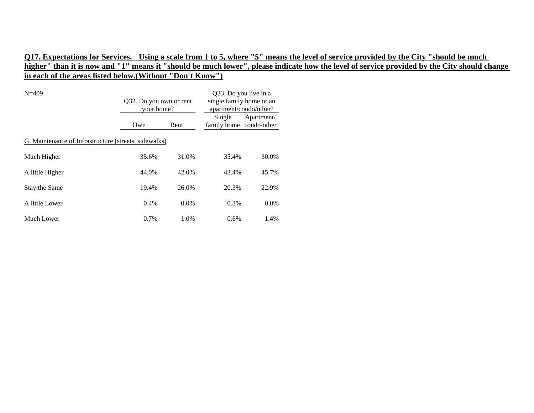| $N = 409$                                             | Q32. Do you own or rent<br>your home? |         | Q33. Do you live in a<br>single family home or an<br>apartment/condo/other? |            |  |
|-------------------------------------------------------|---------------------------------------|---------|-----------------------------------------------------------------------------|------------|--|
|                                                       | Own                                   | Rent    | Single<br>family home condo/other                                           | Apartment/ |  |
| G. Maintenance of Infrastructure (streets, sidewalks) |                                       |         |                                                                             |            |  |
| Much Higher                                           | 35.6%                                 | 31.0%   | 35.4%                                                                       | 30.0%      |  |
| A little Higher                                       | 44.0%                                 | 42.0%   | 43.4%                                                                       | 45.7%      |  |
| Stay the Same                                         | 19.4%                                 | 26.0%   | 20.3%                                                                       | 22.9%      |  |
| A little Lower                                        | 0.4%                                  | $0.0\%$ | 0.3%                                                                        | $0.0\%$    |  |
| Much Lower                                            | 0.7%                                  | 1.0%    | 0.6%                                                                        | 1.4%       |  |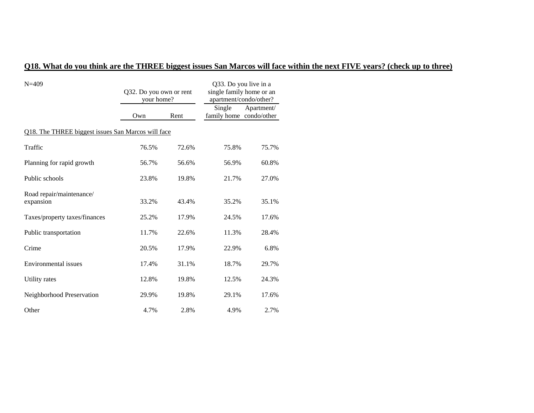# **Q18. What do you think are the THREE biggest issues San Marcos will face within the next FIVE years? (check up to three)**

| $N = 409$                                          | Q32. Do you own or rent<br>your home? |       | Q33. Do you live in a<br>single family home or an<br>apartment/condo/other? |            |  |  |
|----------------------------------------------------|---------------------------------------|-------|-----------------------------------------------------------------------------|------------|--|--|
|                                                    | Own                                   | Rent  | Single<br>family home condo/other                                           | Apartment/ |  |  |
| Q18. The THREE biggest issues San Marcos will face |                                       |       |                                                                             |            |  |  |
| Traffic                                            | 76.5%                                 | 72.6% | 75.8%                                                                       | 75.7%      |  |  |
| Planning for rapid growth                          | 56.7%                                 | 56.6% | 56.9%                                                                       | 60.8%      |  |  |
| Public schools                                     | 23.8%                                 | 19.8% | 21.7%                                                                       | 27.0%      |  |  |
| Road repair/maintenance/<br>expansion              | 33.2%                                 | 43.4% | 35.2%                                                                       | 35.1%      |  |  |
| Taxes/property taxes/finances                      | 25.2%                                 | 17.9% | 24.5%                                                                       | 17.6%      |  |  |
| Public transportation                              | 11.7%                                 | 22.6% | 11.3%                                                                       | 28.4%      |  |  |
| Crime                                              | 20.5%                                 | 17.9% | 22.9%                                                                       | 6.8%       |  |  |
| Environmental issues                               | 17.4%                                 | 31.1% | 18.7%                                                                       | 29.7%      |  |  |
| Utility rates                                      | 12.8%                                 | 19.8% | 12.5%                                                                       | 24.3%      |  |  |
| Neighborhood Preservation                          | 29.9%                                 | 19.8% | 29.1%                                                                       | 17.6%      |  |  |
| Other                                              | 4.7%                                  | 2.8%  | 4.9%                                                                        | 2.7%       |  |  |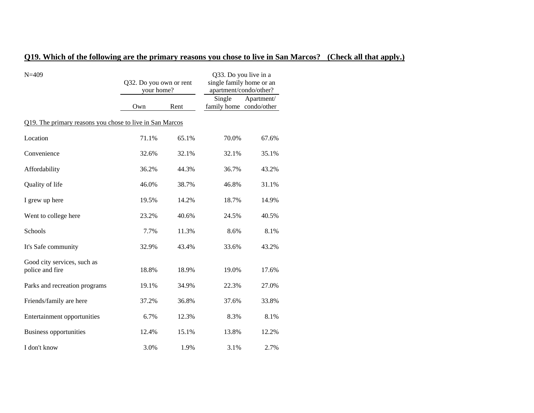### **Q19. Which of the following are the primary reasons you chose to live in San Marcos? (Check all that apply.)**

| $N = 409$                                                | Q32. Do you own or rent<br>your home? |       | Q33. Do you live in a<br>single family home or an<br>apartment/condo/other? |            |
|----------------------------------------------------------|---------------------------------------|-------|-----------------------------------------------------------------------------|------------|
|                                                          | Own                                   | Rent  | Single<br>family home condo/other                                           | Apartment/ |
| Q19. The primary reasons you chose to live in San Marcos |                                       |       |                                                                             |            |
| Location                                                 | 71.1%                                 | 65.1% | 70.0%                                                                       | 67.6%      |
| Convenience                                              | 32.6%                                 | 32.1% | 32.1%                                                                       | 35.1%      |
| Affordability                                            | 36.2%                                 | 44.3% | 36.7%                                                                       | 43.2%      |
| Quality of life                                          | 46.0%                                 | 38.7% | 46.8%                                                                       | 31.1%      |
| I grew up here                                           | 19.5%                                 | 14.2% | 18.7%                                                                       | 14.9%      |
| Went to college here                                     | 23.2%                                 | 40.6% | 24.5%                                                                       | 40.5%      |
| Schools                                                  | 7.7%                                  | 11.3% | 8.6%                                                                        | 8.1%       |
| It's Safe community                                      | 32.9%                                 | 43.4% | 33.6%                                                                       | 43.2%      |
| Good city services, such as<br>police and fire           | 18.8%                                 | 18.9% | 19.0%                                                                       | 17.6%      |
| Parks and recreation programs                            | 19.1%                                 | 34.9% | 22.3%                                                                       | 27.0%      |
| Friends/family are here                                  | 37.2%                                 | 36.8% | 37.6%                                                                       | 33.8%      |
| Entertainment opportunities                              | 6.7%                                  | 12.3% | 8.3%                                                                        | 8.1%       |
| <b>Business opportunities</b>                            | 12.4%                                 | 15.1% | 13.8%                                                                       | 12.2%      |
| I don't know                                             | 3.0%                                  | 1.9%  | 3.1%                                                                        | 2.7%       |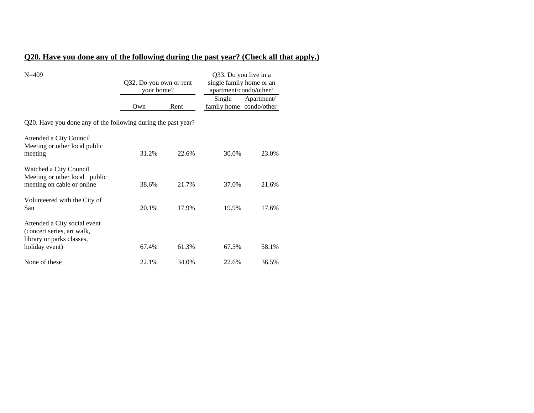# **Q20. Have you done any of the following during the past year? (Check all that apply.)**

| $N = 409$                                                                                                 | Q32. Do you own or rent<br>your home? |       | Q33. Do you live in a<br>single family home or an<br>apartment/condo/other? |            |
|-----------------------------------------------------------------------------------------------------------|---------------------------------------|-------|-----------------------------------------------------------------------------|------------|
|                                                                                                           | Own                                   | Rent  | Single<br>family home condo/other                                           | Apartment/ |
| <u>Q20. Have you done any of the following during the past year?</u>                                      |                                       |       |                                                                             |            |
| Attended a City Council<br>Meeting or other local public<br>meeting                                       | 31.2%                                 | 22.6% | 30.0%                                                                       | 23.0%      |
| Watched a City Council<br>Meeting or other local public<br>meeting on cable or online                     | 38.6%                                 | 21.7% | 37.0%                                                                       | 21.6%      |
| Volunteered with the City of<br>San                                                                       | 20.1%                                 | 17.9% | 19.9%                                                                       | 17.6%      |
| Attended a City social event<br>(concert series, art walk,<br>library or parks classes,<br>holiday event) | 67.4%                                 | 61.3% | 67.3%                                                                       | 58.1%      |
| None of these                                                                                             | 22.1%                                 | 34.0% | 22.6%                                                                       | 36.5%      |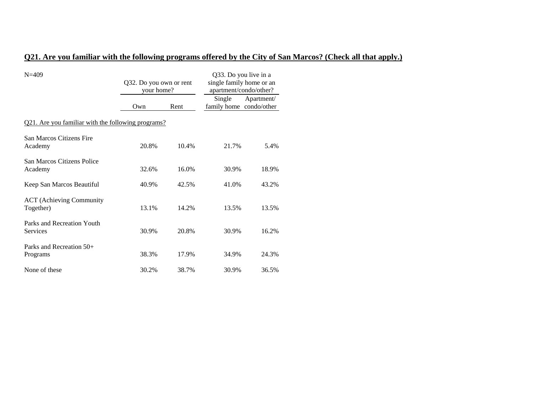### **Q21. Are you familiar with the following programs offered by the City of San Marcos? (Check all that apply.)**

| $N = 409$                                                 | Q32. Do you own or rent<br>your home? |       | Q33. Do you live in a<br>single family home or an<br>apartment/condo/other? |            |
|-----------------------------------------------------------|---------------------------------------|-------|-----------------------------------------------------------------------------|------------|
|                                                           | Own                                   | Rent  | Single<br>family home condo/other                                           | Apartment/ |
| <u>Q21. Are you familiar with the following programs?</u> |                                       |       |                                                                             |            |
| <b>San Marcos Citizens Fire</b><br>Academy                | 20.8%                                 | 10.4% | 21.7%                                                                       | 5.4%       |
| San Marcos Citizens Police<br>Academy                     | 32.6%                                 | 16.0% | 30.9%                                                                       | 18.9%      |
| Keep San Marcos Beautiful                                 | 40.9%                                 | 42.5% | 41.0%                                                                       | 43.2%      |
| <b>ACT</b> (Achieving Community<br>Together)              | 13.1%                                 | 14.2% | 13.5%                                                                       | 13.5%      |
| Parks and Recreation Youth<br>Services                    | 30.9%                                 | 20.8% | 30.9%                                                                       | 16.2%      |
| Parks and Recreation $50+$<br>Programs                    | 38.3%                                 | 17.9% | 34.9%                                                                       | 24.3%      |
| None of these                                             | 30.2%                                 | 38.7% | 30.9%                                                                       | 36.5%      |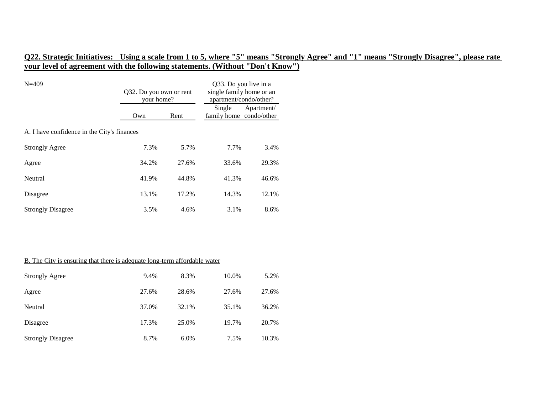| $N = 409$                                   | Q32. Do you own or rent<br>your home? |       | Q33. Do you live in a<br>single family home or an<br>apartment/condo/other? |            |
|---------------------------------------------|---------------------------------------|-------|-----------------------------------------------------------------------------|------------|
|                                             | Own                                   | Rent  | Single<br>family home condo/other                                           | Apartment/ |
| A. I have confidence in the City's finances |                                       |       |                                                                             |            |
| <b>Strongly Agree</b>                       | 7.3%                                  | 5.7%  | 7.7%                                                                        | 3.4%       |
| Agree                                       | 34.2%                                 | 27.6% | 33.6%                                                                       | 29.3%      |
| Neutral                                     | 41.9%                                 | 44.8% | 41.3%                                                                       | 46.6%      |
| Disagree                                    | 13.1%                                 | 17.2% | 14.3%                                                                       | 12.1%      |
| <b>Strongly Disagree</b>                    | 3.5%                                  | 4.6%  | 3.1%                                                                        | 8.6%       |

### B. The City is ensuring that there is adequate long-term affordable water

| <b>Strongly Agree</b>    | 9.4%  | 8.3%  | 10.0% | 5.2%  |
|--------------------------|-------|-------|-------|-------|
| Agree                    | 27.6% | 28.6% | 27.6% | 27.6% |
| Neutral                  | 37.0% | 32.1% | 35.1% | 36.2% |
| Disagree                 | 17.3% | 25.0% | 19.7% | 20.7% |
| <b>Strongly Disagree</b> | 8.7%  | 6.0%  | 7.5%  | 10.3% |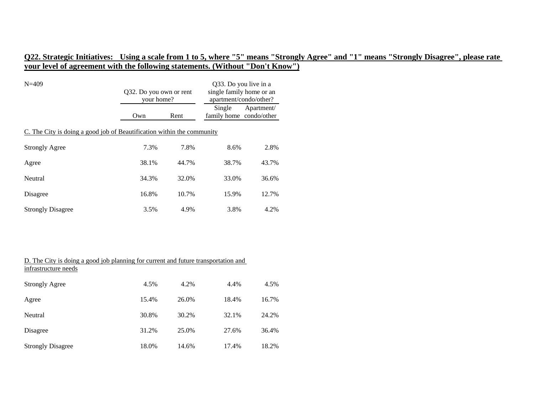| $N = 409$                                                              | Q32. Do you own or rent<br>your home? |       | Q33. Do you live in a<br>single family home or an<br>apartment/condo/other? |            |  |
|------------------------------------------------------------------------|---------------------------------------|-------|-----------------------------------------------------------------------------|------------|--|
|                                                                        | Own                                   | Rent  | Single<br>family home condo/other                                           | Apartment/ |  |
| C. The City is doing a good job of Beautification within the community |                                       |       |                                                                             |            |  |
| <b>Strongly Agree</b>                                                  | 7.3%                                  | 7.8%  | 8.6%                                                                        | 2.8%       |  |
| Agree                                                                  | 38.1%                                 | 44.7% | 38.7%                                                                       | 43.7%      |  |
| Neutral                                                                | 34.3%                                 | 32.0% | 33.0%                                                                       | 36.6%      |  |
| Disagree                                                               | 16.8%                                 | 10.7% | 15.9%                                                                       | 12.7%      |  |
| <b>Strongly Disagree</b>                                               | 3.5%                                  | 4.9%  | 3.8%                                                                        | 4.2%       |  |

| D. The City is doing a good job planning for current and future transportation and<br>infrastructure needs |       |       |       |       |
|------------------------------------------------------------------------------------------------------------|-------|-------|-------|-------|
| <b>Strongly Agree</b>                                                                                      | 4.5%  | 4.2%  | 4.4%  | 4.5%  |
| Agree                                                                                                      | 15.4% | 26.0% | 18.4% | 16.7% |
| Neutral                                                                                                    | 30.8% | 30.2% | 32.1% | 24.2% |
| Disagree                                                                                                   | 31.2% | 25.0% | 27.6% | 36.4% |
| <b>Strongly Disagree</b>                                                                                   | 18.0% | 14.6% | 17.4% | 18.2% |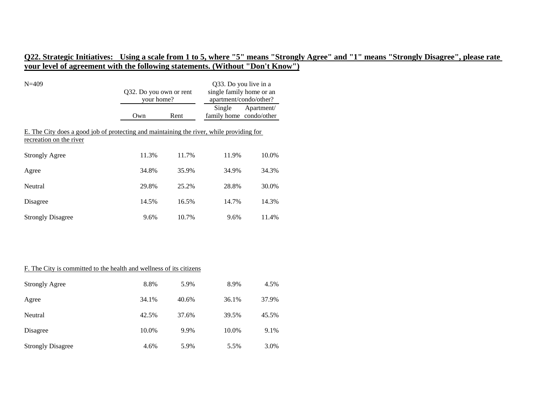| $N = 409$                                                                                                           | Q32. Do you own or rent<br>your home? |       | Q33. Do you live in a<br>single family home or an<br>apartment/condo/other? |            |
|---------------------------------------------------------------------------------------------------------------------|---------------------------------------|-------|-----------------------------------------------------------------------------|------------|
|                                                                                                                     | Own                                   | Rent  | Single<br>family home condo/other                                           | Apartment/ |
| E. The City does a good job of protecting and maintaining the river, while providing for<br>recreation on the river |                                       |       |                                                                             |            |
| <b>Strongly Agree</b>                                                                                               | 11.3%                                 | 11.7% | 11.9%                                                                       | 10.0%      |
| Agree                                                                                                               | 34.8%                                 | 35.9% | 34.9%                                                                       | 34.3%      |
| Neutral                                                                                                             | 29.8%                                 | 25.2% | 28.8%                                                                       | 30.0%      |
| Disagree                                                                                                            | 14.5%                                 | 16.5% | 14.7%                                                                       | 14.3%      |
| <b>Strongly Disagree</b>                                                                                            | 9.6%                                  | 10.7% | 9.6%                                                                        | 11.4%      |

### F. The City is committed to the health and wellness of its citizens

| <b>Strongly Agree</b>    | 8.8%  | 5.9%  | 8.9%  | 4.5%  |
|--------------------------|-------|-------|-------|-------|
| Agree                    | 34.1% | 40.6% | 36.1% | 37.9% |
| Neutral                  | 42.5% | 37.6% | 39.5% | 45.5% |
| Disagree                 | 10.0% | 9.9%  | 10.0% | 9.1%  |
| <b>Strongly Disagree</b> | 4.6%  | 5.9%  | 5.5%  | 3.0%  |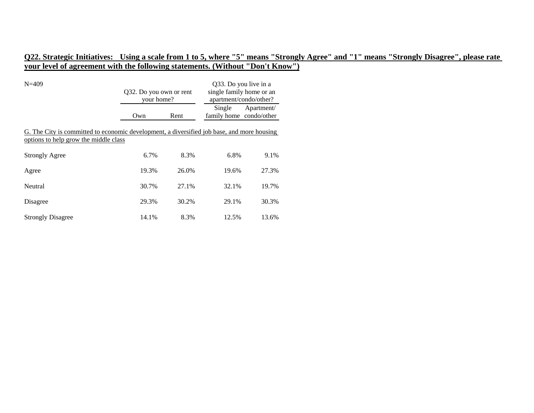| $N = 409$                                                                                                                           | Q32. Do you own or rent<br>your home? |       | Q33. Do you live in a<br>single family home or an<br>apartment/condo/other? |            |
|-------------------------------------------------------------------------------------------------------------------------------------|---------------------------------------|-------|-----------------------------------------------------------------------------|------------|
|                                                                                                                                     | Own                                   | Rent  | Single<br>family home condo/other                                           | Apartment/ |
| G. The City is committed to economic development, a diversified job base, and more housing<br>options to help grow the middle class |                                       |       |                                                                             |            |
| <b>Strongly Agree</b>                                                                                                               | 6.7%                                  | 8.3%  | 6.8%                                                                        | 9.1%       |
| Agree                                                                                                                               | 19.3%                                 | 26.0% | 19.6%                                                                       | 27.3%      |
| Neutral                                                                                                                             | 30.7%                                 | 27.1% | 32.1%                                                                       | 19.7%      |
| Disagree                                                                                                                            | 29.3%                                 | 30.2% | 29.1%                                                                       | 30.3%      |
| <b>Strongly Disagree</b>                                                                                                            | 14.1%                                 | 8.3%  | 12.5%                                                                       | 13.6%      |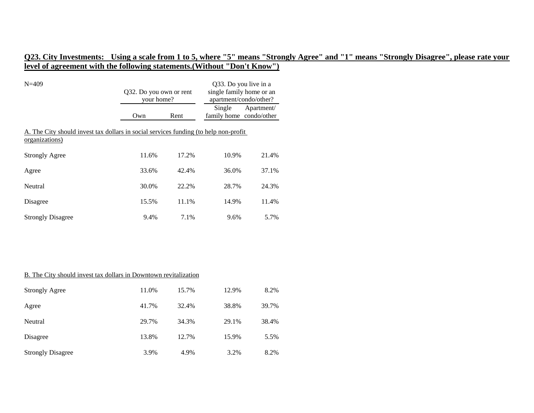| $N = 409$                                                                                               | Q32. Do you own or rent<br>your home? |       | Q33. Do you live in a<br>single family home or an<br>apartment/condo/other? |            |
|---------------------------------------------------------------------------------------------------------|---------------------------------------|-------|-----------------------------------------------------------------------------|------------|
|                                                                                                         | Own                                   | Rent  | Single<br>family home condo/other                                           | Apartment/ |
| A. The City should invest tax dollars in social services funding (to help non-profit)<br>organizations) |                                       |       |                                                                             |            |
| <b>Strongly Agree</b>                                                                                   | 11.6%                                 | 17.2% | 10.9%                                                                       | 21.4%      |
| Agree                                                                                                   | 33.6%                                 | 42.4% | 36.0%                                                                       | 37.1%      |
| Neutral                                                                                                 | 30.0%                                 | 22.2% | 28.7%                                                                       | 24.3%      |
| Disagree                                                                                                | 15.5%                                 | 11.1% | 14.9%                                                                       | 11.4%      |
| <b>Strongly Disagree</b>                                                                                | 9.4%                                  | 7.1%  | 9.6%                                                                        | 5.7%       |

#### B. The City should invest tax dollars in Downtown revitalization

| <b>Strongly Agree</b>    | 11.0% | 15.7% | 12.9% | 8.2%  |
|--------------------------|-------|-------|-------|-------|
| Agree                    | 41.7% | 32.4% | 38.8% | 39.7% |
| Neutral                  | 29.7% | 34.3% | 29.1% | 38.4% |
| Disagree                 | 13.8% | 12.7% | 15.9% | 5.5%  |
| <b>Strongly Disagree</b> | 3.9%  | 4.9%  | 3.2%  | 8.2%  |